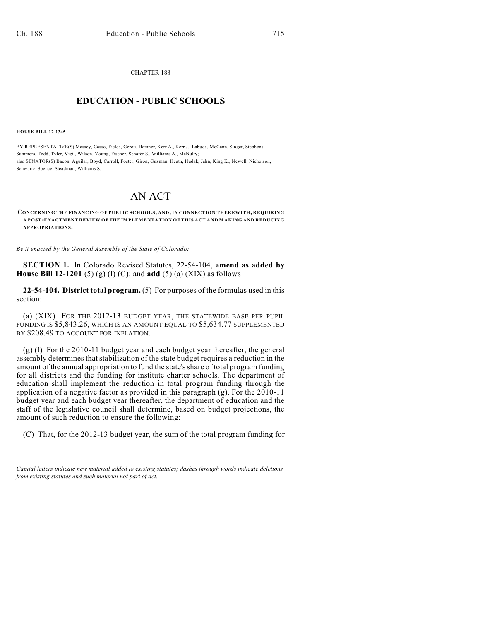CHAPTER 188  $\overline{\phantom{a}}$  . The set of the set of the set of the set of the set of the set of the set of the set of the set of the set of the set of the set of the set of the set of the set of the set of the set of the set of the set o

## **EDUCATION - PUBLIC SCHOOLS**  $\_$   $\_$   $\_$   $\_$   $\_$   $\_$   $\_$   $\_$   $\_$

**HOUSE BILL 12-1345**

)))))

BY REPRESENTATIVE(S) Massey, Casso, Fields, Gerou, Hamner, Kerr A., Kerr J., Labuda, McCann, Singer, Stephens, Summers, Todd, Tyler, Vigil, Wilson, Young, Fischer, Schafer S., Williams A., McNulty; also SENATOR(S) Bacon, Aguilar, Boyd, Carroll, Foster, Giron, Guzman, Heath, Hudak, Jahn, King K., Newell, Nicholson, Schwartz, Spence, Steadman, Williams S.

# AN ACT

**CONCERNING THE FINANCING OF PUBLIC SCHOOLS, AND, IN CONNECTION THEREWITH, REQUIRING A POST-ENACTMENT REVIEW OF THE IMPLEMENTATION OF THIS ACT AND MAKING AND REDUCING APPROPRIATIONS.**

*Be it enacted by the General Assembly of the State of Colorado:*

**SECTION 1.** In Colorado Revised Statutes, 22-54-104, **amend as added by House Bill 12-1201** (5) (g) (I) (C); and **add** (5) (a) (XIX) as follows:

**22-54-104. District total program.** (5) For purposes of the formulas used in this section:

(a) (XIX) FOR THE 2012-13 BUDGET YEAR, THE STATEWIDE BASE PER PUPIL FUNDING IS \$5,843.26, WHICH IS AN AMOUNT EQUAL TO \$5,634.77 SUPPLEMENTED BY \$208.49 TO ACCOUNT FOR INFLATION.

(g) (I) For the 2010-11 budget year and each budget year thereafter, the general assembly determines that stabilization of the state budget requires a reduction in the amount of the annual appropriation to fund the state'sshare of total program funding for all districts and the funding for institute charter schools. The department of education shall implement the reduction in total program funding through the application of a negative factor as provided in this paragraph (g). For the 2010-11 budget year and each budget year thereafter, the department of education and the staff of the legislative council shall determine, based on budget projections, the amount of such reduction to ensure the following:

(C) That, for the 2012-13 budget year, the sum of the total program funding for

*Capital letters indicate new material added to existing statutes; dashes through words indicate deletions from existing statutes and such material not part of act.*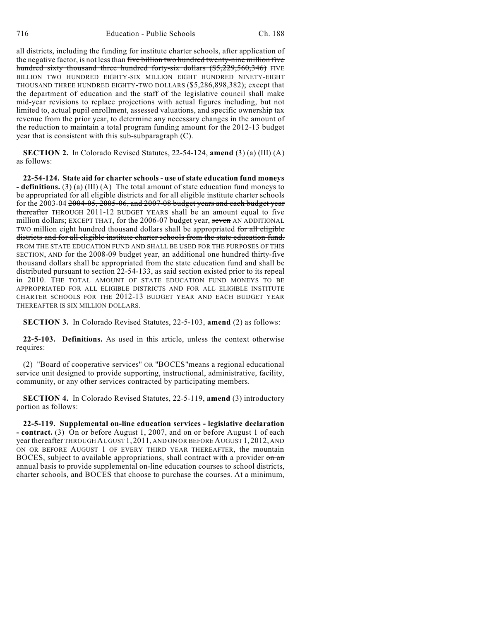all districts, including the funding for institute charter schools, after application of the negative factor, is not less than five billion two hundred twenty-nine million five hundred sixty thousand three hundred forty-six dollars (\$5,229,560,346) FIVE BILLION TWO HUNDRED EIGHTY-SIX MILLION EIGHT HUNDRED NINETY-EIGHT THOUSAND THREE HUNDRED EIGHTY-TWO DOLLARS (\$5,286,898,382); except that the department of education and the staff of the legislative council shall make mid-year revisions to replace projections with actual figures including, but not limited to, actual pupil enrollment, assessed valuations, and specific ownership tax revenue from the prior year, to determine any necessary changes in the amount of the reduction to maintain a total program funding amount for the 2012-13 budget year that is consistent with this sub-subparagraph (C).

**SECTION 2.** In Colorado Revised Statutes, 22-54-124, **amend** (3) (a) (III) (A) as follows:

**22-54-124. State aid for charter schools - use of state education fund moneys - definitions.** (3) (a) (III) (A) The total amount of state education fund moneys to be appropriated for all eligible districts and for all eligible institute charter schools for the 2003-04 2004-05, 2005-06, and 2007-08 budget years and each budget year thereafter THROUGH 2011-12 BUDGET YEARS shall be an amount equal to five million dollars; EXCEPT THAT, for the 2006-07 budget year, seven AN ADDITIONAL TWO million eight hundred thousand dollars shall be appropriated for all eligible districts and for all eligible institute charter schools from the state education fund. FROM THE STATE EDUCATION FUND AND SHALL BE USED FOR THE PURPOSES OF THIS SECTION, AND for the 2008-09 budget year, an additional one hundred thirty-five thousand dollars shall be appropriated from the state education fund and shall be distributed pursuant to section 22-54-133, as said section existed prior to its repeal in 2010. THE TOTAL AMOUNT OF STATE EDUCATION FUND MONEYS TO BE APPROPRIATED FOR ALL ELIGIBLE DISTRICTS AND FOR ALL ELIGIBLE INSTITUTE CHARTER SCHOOLS FOR THE 2012-13 BUDGET YEAR AND EACH BUDGET YEAR THEREAFTER IS SIX MILLION DOLLARS.

**SECTION 3.** In Colorado Revised Statutes, 22-5-103, **amend** (2) as follows:

**22-5-103. Definitions.** As used in this article, unless the context otherwise requires:

(2) "Board of cooperative services" OR "BOCES"means a regional educational service unit designed to provide supporting, instructional, administrative, facility, community, or any other services contracted by participating members.

**SECTION 4.** In Colorado Revised Statutes, 22-5-119, **amend** (3) introductory portion as follows:

**22-5-119. Supplemental on-line education services - legislative declaration - contract.** (3) On or before August 1, 2007, and on or before August 1 of each year thereafter THROUGH AUGUST 1, 2011, AND ON OR BEFORE AUGUST 1, 2012, AND ON OR BEFORE AUGUST 1 OF EVERY THIRD YEAR THEREAFTER, the mountain BOCES, subject to available appropriations, shall contract with a provider on an annual basis to provide supplemental on-line education courses to school districts, charter schools, and BOCES that choose to purchase the courses. At a minimum,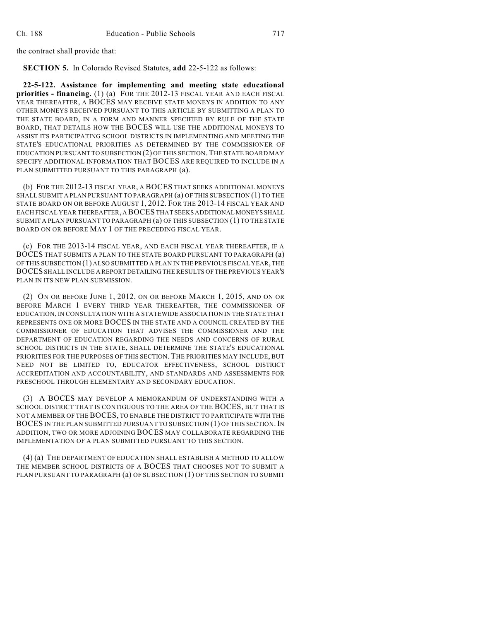the contract shall provide that:

**SECTION 5.** In Colorado Revised Statutes, **add** 22-5-122 as follows:

**22-5-122. Assistance for implementing and meeting state educational priorities - financing.** (1) (a) FOR THE 2012-13 FISCAL YEAR AND EACH FISCAL YEAR THEREAFTER, A BOCES MAY RECEIVE STATE MONEYS IN ADDITION TO ANY OTHER MONEYS RECEIVED PURSUANT TO THIS ARTICLE BY SUBMITTING A PLAN TO THE STATE BOARD, IN A FORM AND MANNER SPECIFIED BY RULE OF THE STATE BOARD, THAT DETAILS HOW THE BOCES WILL USE THE ADDITIONAL MONEYS TO ASSIST ITS PARTICIPATING SCHOOL DISTRICTS IN IMPLEMENTING AND MEETING THE STATE'S EDUCATIONAL PRIORITIES AS DETERMINED BY THE COMMISSIONER OF EDUCATION PURSUANT TO SUBSECTION (2) OF THIS SECTION.THE STATE BOARD MAY SPECIFY ADDITIONAL INFORMATION THAT BOCES ARE REQUIRED TO INCLUDE IN A PLAN SUBMITTED PURSUANT TO THIS PARAGRAPH (a).

(b) FOR THE 2012-13 FISCAL YEAR, A BOCES THAT SEEKS ADDITIONAL MONEYS SHALL SUBMIT A PLAN PURSUANT TO PARAGRAPH (a) OF THIS SUBSECTION (1) TO THE STATE BOARD ON OR BEFORE AUGUST 1, 2012. FOR THE 2013-14 FISCAL YEAR AND EACH FISCAL YEAR THEREAFTER, A BOCES THAT SEEKS ADDITIONAL MONEYS SHALL SUBMIT A PLAN PURSUANT TO PARAGRAPH (a) OF THIS SUBSECTION (1) TO THE STATE BOARD ON OR BEFORE MAY 1 OF THE PRECEDING FISCAL YEAR.

(c) FOR THE 2013-14 FISCAL YEAR, AND EACH FISCAL YEAR THEREAFTER, IF A BOCES THAT SUBMITS A PLAN TO THE STATE BOARD PURSUANT TO PARAGRAPH (a) OF THIS SUBSECTION (1) ALSO SUBMITTED A PLAN IN THE PREVIOUS FISCAL YEAR, THE BOCES SHALL INCLUDE A REPORT DETAILING THE RESULTS OF THE PREVIOUS YEAR'S PLAN IN ITS NEW PLAN SUBMISSION.

(2) ON OR BEFORE JUNE 1, 2012, ON OR BEFORE MARCH 1, 2015, AND ON OR BEFORE MARCH 1 EVERY THIRD YEAR THEREAFTER, THE COMMISSIONER OF EDUCATION, IN CONSULTATION WITH A STATEWIDE ASSOCIATION IN THE STATE THAT REPRESENTS ONE OR MORE BOCES IN THE STATE AND A COUNCIL CREATED BY THE COMMISSIONER OF EDUCATION THAT ADVISES THE COMMISSIONER AND THE DEPARTMENT OF EDUCATION REGARDING THE NEEDS AND CONCERNS OF RURAL SCHOOL DISTRICTS IN THE STATE, SHALL DETERMINE THE STATE'S EDUCATIONAL PRIORITIES FOR THE PURPOSES OF THIS SECTION. THE PRIORITIES MAY INCLUDE, BUT NEED NOT BE LIMITED TO, EDUCATOR EFFECTIVENESS, SCHOOL DISTRICT ACCREDITATION AND ACCOUNTABILITY, AND STANDARDS AND ASSESSMENTS FOR PRESCHOOL THROUGH ELEMENTARY AND SECONDARY EDUCATION.

(3) A BOCES MAY DEVELOP A MEMORANDUM OF UNDERSTANDING WITH A SCHOOL DISTRICT THAT IS CONTIGUOUS TO THE AREA OF THE BOCES, BUT THAT IS NOT A MEMBER OF THE BOCES, TO ENABLE THE DISTRICT TO PARTICIPATE WITH THE BOCES IN THE PLAN SUBMITTED PURSUANT TO SUBSECTION (1) OF THIS SECTION. IN ADDITION, TWO OR MORE ADJOINING BOCES MAY COLLABORATE REGARDING THE IMPLEMENTATION OF A PLAN SUBMITTED PURSUANT TO THIS SECTION.

(4) (a) THE DEPARTMENT OF EDUCATION SHALL ESTABLISH A METHOD TO ALLOW THE MEMBER SCHOOL DISTRICTS OF A BOCES THAT CHOOSES NOT TO SUBMIT A PLAN PURSUANT TO PARAGRAPH (a) OF SUBSECTION (1) OF THIS SECTION TO SUBMIT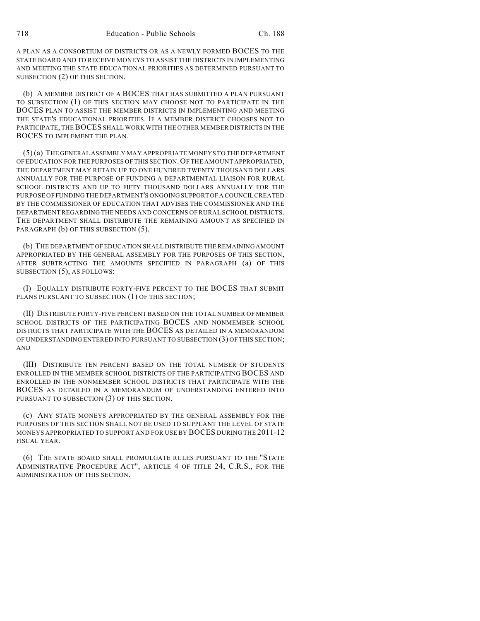A PLAN AS A CONSORTIUM OF DISTRICTS OR AS A NEWLY FORMED BOCES TO THE STATE BOARD AND TO RECEIVE MONEYS TO ASSIST THE DISTRICTS IN IMPLEMENTING AND MEETING THE STATE EDUCATIONAL PRIORITIES AS DETERMINED PURSUANT TO SUBSECTION (2) OF THIS SECTION.

(b) A MEMBER DISTRICT OF A BOCES THAT HAS SUBMITTED A PLAN PURSUANT TO SUBSECTION (1) OF THIS SECTION MAY CHOOSE NOT TO PARTICIPATE IN THE BOCES PLAN TO ASSIST THE MEMBER DISTRICTS IN IMPLEMENTING AND MEETING THE STATE'S EDUCATIONAL PRIORITIES. IF A MEMBER DISTRICT CHOOSES NOT TO PARTICIPATE, THEBOCES SHALL WORK WITH THE OTHER MEMBER DISTRICTS IN THE BOCES TO IMPLEMENT THE PLAN.

(5) (a) THE GENERAL ASSEMBLY MAY APPROPRIATE MONEYS TO THE DEPARTMENT OFEDUCATION FOR THE PURPOSES OF THIS SECTION.OF THE AMOUNT APPROPRIATED, THE DEPARTMENT MAY RETAIN UP TO ONE HUNDRED TWENTY THOUSAND DOLLARS ANNUALLY FOR THE PURPOSE OF FUNDING A DEPARTMENTAL LIAISON FOR RURAL SCHOOL DISTRICTS AND UP TO FIFTY THOUSAND DOLLARS ANNUALLY FOR THE PURPOSE OF FUNDING THE DEPARTMENT'S ONGOING SUPPORT OFA COUNCILCREATED BY THE COMMISSIONER OF EDUCATION THAT ADVISES THE COMMISSIONER AND THE DEPARTMENT REGARDING THE NEEDS AND CONCERNS OF RURAL SCHOOL DISTRICTS. THE DEPARTMENT SHALL DISTRIBUTE THE REMAINING AMOUNT AS SPECIFIED IN PARAGRAPH (b) OF THIS SUBSECTION (5).

(b) THE DEPARTMENT OFEDUCATION SHALL DISTRIBUTE THE REMAINING AMOUNT APPROPRIATED BY THE GENERAL ASSEMBLY FOR THE PURPOSES OF THIS SECTION, AFTER SUBTRACTING THE AMOUNTS SPECIFIED IN PARAGRAPH (a) OF THIS SUBSECTION (5), AS FOLLOWS:

(I) EQUALLY DISTRIBUTE FORTY-FIVE PERCENT TO THE BOCES THAT SUBMIT PLANS PURSUANT TO SUBSECTION (1) OF THIS SECTION;

(II) DISTRIBUTE FORTY-FIVE PERCENT BASED ON THE TOTAL NUMBER OF MEMBER SCHOOL DISTRICTS OF THE PARTICIPATING BOCES AND NONMEMBER SCHOOL DISTRICTS THAT PARTICIPATE WITH THE BOCES AS DETAILED IN A MEMORANDUM OF UNDERSTANDING ENTERED INTO PURSUANT TO SUBSECTION (3) OF THIS SECTION; AND

(III) DISTRIBUTE TEN PERCENT BASED ON THE TOTAL NUMBER OF STUDENTS ENROLLED IN THE MEMBER SCHOOL DISTRICTS OF THE PARTICIPATING BOCES AND ENROLLED IN THE NONMEMBER SCHOOL DISTRICTS THAT PARTICIPATE WITH THE BOCES AS DETAILED IN A MEMORANDUM OF UNDERSTANDING ENTERED INTO PURSUANT TO SUBSECTION (3) OF THIS SECTION.

(c) ANY STATE MONEYS APPROPRIATED BY THE GENERAL ASSEMBLY FOR THE PURPOSES OF THIS SECTION SHALL NOT BE USED TO SUPPLANT THE LEVEL OF STATE MONEYS APPROPRIATED TO SUPPORT AND FOR USE BY BOCES DURING THE 2011-12 FISCAL YEAR.

(6) THE STATE BOARD SHALL PROMULGATE RULES PURSUANT TO THE "STATE ADMINISTRATIVE PROCEDURE ACT", ARTICLE 4 OF TITLE 24, C.R.S., FOR THE ADMINISTRATION OF THIS SECTION.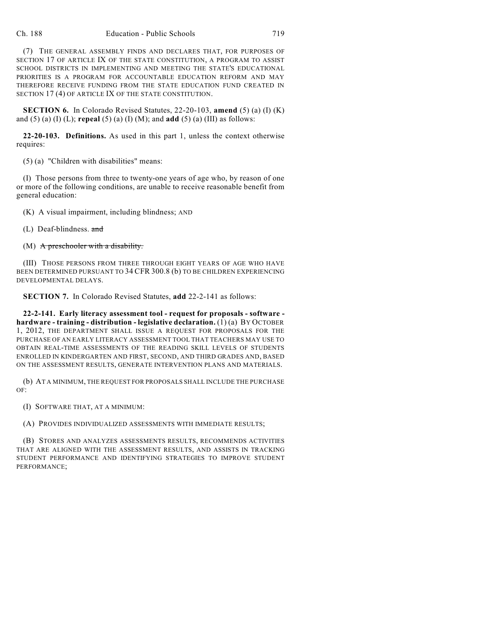(7) THE GENERAL ASSEMBLY FINDS AND DECLARES THAT, FOR PURPOSES OF SECTION 17 OF ARTICLE IX OF THE STATE CONSTITUTION, A PROGRAM TO ASSIST SCHOOL DISTRICTS IN IMPLEMENTING AND MEETING THE STATE'S EDUCATIONAL PRIORITIES IS A PROGRAM FOR ACCOUNTABLE EDUCATION REFORM AND MAY THEREFORE RECEIVE FUNDING FROM THE STATE EDUCATION FUND CREATED IN SECTION 17 (4) OF ARTICLE IX OF THE STATE CONSTITUTION.

**SECTION 6.** In Colorado Revised Statutes, 22-20-103, **amend** (5) (a) (I) (K) and (5) (a) (I) (L); **repeal** (5) (a) (I) (M); and **add** (5) (a) (III) as follows:

**22-20-103. Definitions.** As used in this part 1, unless the context otherwise requires:

(5) (a) "Children with disabilities" means:

(I) Those persons from three to twenty-one years of age who, by reason of one or more of the following conditions, are unable to receive reasonable benefit from general education:

(K) A visual impairment, including blindness; AND

(L) Deaf-blindness. and

 $(M)$  A preschooler with a disability.

(III) THOSE PERSONS FROM THREE THROUGH EIGHT YEARS OF AGE WHO HAVE BEEN DETERMINED PURSUANT TO 34 CFR 300.8 (b) TO BE CHILDREN EXPERIENCING DEVELOPMENTAL DELAYS.

**SECTION 7.** In Colorado Revised Statutes, **add** 22-2-141 as follows:

**22-2-141. Early literacy assessment tool - request for proposals - software hardware - training - distribution - legislative declaration.** (1) (a) BY OCTOBER 1, 2012, THE DEPARTMENT SHALL ISSUE A REQUEST FOR PROPOSALS FOR THE PURCHASE OF AN EARLY LITERACY ASSESSMENT TOOL THAT TEACHERS MAY USE TO OBTAIN REAL-TIME ASSESSMENTS OF THE READING SKILL LEVELS OF STUDENTS ENROLLED IN KINDERGARTEN AND FIRST, SECOND, AND THIRD GRADES AND, BASED ON THE ASSESSMENT RESULTS, GENERATE INTERVENTION PLANS AND MATERIALS.

(b) AT A MINIMUM, THE REQUEST FOR PROPOSALS SHALL INCLUDE THE PURCHASE OF:

(I) SOFTWARE THAT, AT A MINIMUM:

(A) PROVIDES INDIVIDUALIZED ASSESSMENTS WITH IMMEDIATE RESULTS;

(B) STORES AND ANALYZES ASSESSMENTS RESULTS, RECOMMENDS ACTIVITIES THAT ARE ALIGNED WITH THE ASSESSMENT RESULTS, AND ASSISTS IN TRACKING STUDENT PERFORMANCE AND IDENTIFYING STRATEGIES TO IMPROVE STUDENT PERFORMANCE;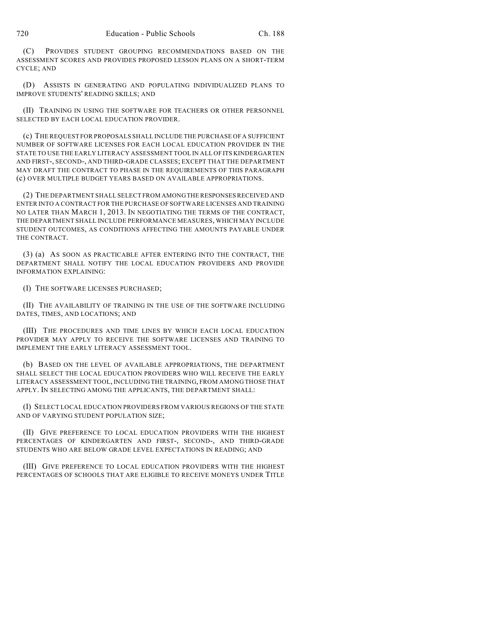(C) PROVIDES STUDENT GROUPING RECOMMENDATIONS BASED ON THE ASSESSMENT SCORES AND PROVIDES PROPOSED LESSON PLANS ON A SHORT-TERM CYCLE; AND

(D) ASSISTS IN GENERATING AND POPULATING INDIVIDUALIZED PLANS TO IMPROVE STUDENTS' READING SKILLS; AND

(II) TRAINING IN USING THE SOFTWARE FOR TEACHERS OR OTHER PERSONNEL SELECTED BY EACH LOCAL EDUCATION PROVIDER.

(c) THE REQUEST FOR PROPOSALS SHALL INCLUDE THE PURCHASE OF A SUFFICIENT NUMBER OF SOFTWARE LICENSES FOR EACH LOCAL EDUCATION PROVIDER IN THE STATE TO USE THE EARLY LITERACY ASSESSMENT TOOL IN ALL OF ITS KINDERGARTEN AND FIRST-, SECOND-, AND THIRD-GRADE CLASSES; EXCEPT THAT THE DEPARTMENT MAY DRAFT THE CONTRACT TO PHASE IN THE REQUIREMENTS OF THIS PARAGRAPH (c) OVER MULTIPLE BUDGET YEARS BASED ON AVAILABLE APPROPRIATIONS.

(2) THE DEPARTMENT SHALL SELECT FROM AMONGTHE RESPONSESRECEIVED AND ENTER INTO A CONTRACT FOR THE PURCHASE OF SOFTWARE LICENSES AND TRAINING NO LATER THAN MARCH 1, 2013. IN NEGOTIATING THE TERMS OF THE CONTRACT, THE DEPARTMENT SHALL INCLUDE PERFORMANCE MEASURES, WHICH MAY INCLUDE STUDENT OUTCOMES, AS CONDITIONS AFFECTING THE AMOUNTS PAYABLE UNDER THE CONTRACT.

(3) (a) AS SOON AS PRACTICABLE AFTER ENTERING INTO THE CONTRACT, THE DEPARTMENT SHALL NOTIFY THE LOCAL EDUCATION PROVIDERS AND PROVIDE INFORMATION EXPLAINING:

(I) THE SOFTWARE LICENSES PURCHASED;

(II) THE AVAILABILITY OF TRAINING IN THE USE OF THE SOFTWARE INCLUDING DATES, TIMES, AND LOCATIONS; AND

(III) THE PROCEDURES AND TIME LINES BY WHICH EACH LOCAL EDUCATION PROVIDER MAY APPLY TO RECEIVE THE SOFTWARE LICENSES AND TRAINING TO IMPLEMENT THE EARLY LITERACY ASSESSMENT TOOL.

(b) BASED ON THE LEVEL OF AVAILABLE APPROPRIATIONS, THE DEPARTMENT SHALL SELECT THE LOCAL EDUCATION PROVIDERS WHO WILL RECEIVE THE EARLY LITERACY ASSESSMENT TOOL, INCLUDING THE TRAINING, FROM AMONG THOSE THAT APPLY. IN SELECTING AMONG THE APPLICANTS, THE DEPARTMENT SHALL:

(I) SELECT LOCAL EDUCATION PROVIDERS FROM VARIOUS REGIONS OF THE STATE AND OF VARYING STUDENT POPULATION SIZE;

(II) GIVE PREFERENCE TO LOCAL EDUCATION PROVIDERS WITH THE HIGHEST PERCENTAGES OF KINDERGARTEN AND FIRST-, SECOND-, AND THIRD-GRADE STUDENTS WHO ARE BELOW GRADE LEVEL EXPECTATIONS IN READING; AND

(III) GIVE PREFERENCE TO LOCAL EDUCATION PROVIDERS WITH THE HIGHEST PERCENTAGES OF SCHOOLS THAT ARE ELIGIBLE TO RECEIVE MONEYS UNDER TITLE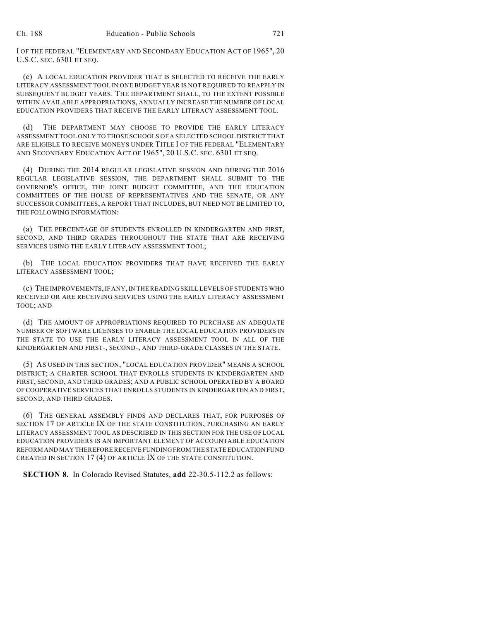I OF THE FEDERAL "ELEMENTARY AND SECONDARY EDUCATION ACT OF 1965", 20 U.S.C. SEC. 6301 ET SEQ.

(c) A LOCAL EDUCATION PROVIDER THAT IS SELECTED TO RECEIVE THE EARLY LITERACY ASSESSMENT TOOL IN ONE BUDGET YEAR IS NOT REQUIRED TO REAPPLY IN SUBSEQUENT BUDGET YEARS. THE DEPARTMENT SHALL, TO THE EXTENT POSSIBLE WITHIN AVAILABLE APPROPRIATIONS, ANNUALLY INCREASE THE NUMBER OF LOCAL EDUCATION PROVIDERS THAT RECEIVE THE EARLY LITERACY ASSESSMENT TOOL.

(d) THE DEPARTMENT MAY CHOOSE TO PROVIDE THE EARLY LITERACY ASSESSMENT TOOL ONLY TO THOSE SCHOOLS OF A SELECTED SCHOOL DISTRICT THAT ARE ELIGIBLE TO RECEIVE MONEYS UNDER TITLE I OF THE FEDERAL "ELEMENTARY AND SECONDARY EDUCATION ACT OF 1965", 20 U.S.C. SEC. 6301 ET SEQ.

(4) DURING THE 2014 REGULAR LEGISLATIVE SESSION AND DURING THE 2016 REGULAR LEGISLATIVE SESSION, THE DEPARTMENT SHALL SUBMIT TO THE GOVERNOR'S OFFICE, THE JOINT BUDGET COMMITTEE, AND THE EDUCATION COMMITTEES OF THE HOUSE OF REPRESENTATIVES AND THE SENATE, OR ANY SUCCESSOR COMMITTEES, A REPORT THAT INCLUDES, BUT NEED NOT BE LIMITED TO, THE FOLLOWING INFORMATION:

(a) THE PERCENTAGE OF STUDENTS ENROLLED IN KINDERGARTEN AND FIRST, SECOND, AND THIRD GRADES THROUGHOUT THE STATE THAT ARE RECEIVING SERVICES USING THE EARLY LITERACY ASSESSMENT TOOL;

(b) THE LOCAL EDUCATION PROVIDERS THAT HAVE RECEIVED THE EARLY LITERACY ASSESSMENT TOOL;

(c) THE IMPROVEMENTS, IF ANY, IN THE READING SKILL LEVELS OF STUDENTS WHO RECEIVED OR ARE RECEIVING SERVICES USING THE EARLY LITERACY ASSESSMENT TOOL; AND

(d) THE AMOUNT OF APPROPRIATIONS REQUIRED TO PURCHASE AN ADEQUATE NUMBER OF SOFTWARE LICENSES TO ENABLE THE LOCAL EDUCATION PROVIDERS IN THE STATE TO USE THE EARLY LITERACY ASSESSMENT TOOL IN ALL OF THE KINDERGARTEN AND FIRST-, SECOND-, AND THIRD-GRADE CLASSES IN THE STATE.

(5) AS USED IN THIS SECTION, "LOCAL EDUCATION PROVIDER" MEANS A SCHOOL DISTRICT; A CHARTER SCHOOL THAT ENROLLS STUDENTS IN KINDERGARTEN AND FIRST, SECOND, AND THIRD GRADES; AND A PUBLIC SCHOOL OPERATED BY A BOARD OF COOPERATIVE SERVICES THAT ENROLLS STUDENTS IN KINDERGARTEN AND FIRST, SECOND, AND THIRD GRADES.

(6) THE GENERAL ASSEMBLY FINDS AND DECLARES THAT, FOR PURPOSES OF SECTION 17 OF ARTICLE IX OF THE STATE CONSTITUTION, PURCHASING AN EARLY LITERACY ASSESSMENT TOOL AS DESCRIBED IN THIS SECTION FOR THE USE OF LOCAL EDUCATION PROVIDERS IS AN IMPORTANT ELEMENT OF ACCOUNTABLE EDUCATION REFORM AND MAY THEREFORE RECEIVE FUNDING FROM THE STATE EDUCATION FUND CREATED IN SECTION 17 (4) OF ARTICLE IX OF THE STATE CONSTITUTION.

**SECTION 8.** In Colorado Revised Statutes, **add** 22-30.5-112.2 as follows: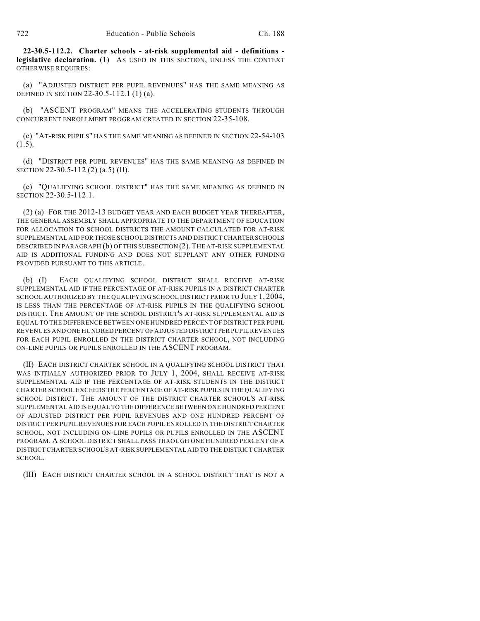**22-30.5-112.2. Charter schools - at-risk supplemental aid - definitions legislative declaration.** (1) AS USED IN THIS SECTION, UNLESS THE CONTEXT OTHERWISE REQUIRES:

(a) "ADJUSTED DISTRICT PER PUPIL REVENUES" HAS THE SAME MEANING AS DEFINED IN SECTION 22-30.5-112.1 (1) (a).

(b) "ASCENT PROGRAM" MEANS THE ACCELERATING STUDENTS THROUGH CONCURRENT ENROLLMENT PROGRAM CREATED IN SECTION 22-35-108.

(c) "AT-RISK PUPILS" HAS THE SAME MEANING AS DEFINED IN SECTION 22-54-103  $(1.5).$ 

(d) "DISTRICT PER PUPIL REVENUES" HAS THE SAME MEANING AS DEFINED IN SECTION 22-30.5-112 (2) (a.5) (II).

(e) "QUALIFYING SCHOOL DISTRICT" HAS THE SAME MEANING AS DEFINED IN SECTION 22-30.5-112.1.

(2) (a) FOR THE 2012-13 BUDGET YEAR AND EACH BUDGET YEAR THEREAFTER, THE GENERAL ASSEMBLY SHALL APPROPRIATE TO THE DEPARTMENT OF EDUCATION FOR ALLOCATION TO SCHOOL DISTRICTS THE AMOUNT CALCULATED FOR AT-RISK SUPPLEMENTAL AID FOR THOSE SCHOOL DISTRICTS AND DISTRICT CHARTER SCHOOLS DESCRIBED IN PARAGRAPH (b) OF THIS SUBSECTION (2). THE AT-RISK SUPPLEMENTAL AID IS ADDITIONAL FUNDING AND DOES NOT SUPPLANT ANY OTHER FUNDING PROVIDED PURSUANT TO THIS ARTICLE.

(b) (I) EACH QUALIFYING SCHOOL DISTRICT SHALL RECEIVE AT-RISK SUPPLEMENTAL AID IF THE PERCENTAGE OF AT-RISK PUPILS IN A DISTRICT CHARTER SCHOOL AUTHORIZED BY THE QUALIFYING SCHOOL DISTRICT PRIOR TO JULY 1, 2004, IS LESS THAN THE PERCENTAGE OF AT-RISK PUPILS IN THE QUALIFYING SCHOOL DISTRICT. THE AMOUNT OF THE SCHOOL DISTRICT'S AT-RISK SUPPLEMENTAL AID IS EQUAL TO THE DIFFERENCE BETWEEN ONE HUNDRED PERCENT OF DISTRICT PER PUPIL REVENUES AND ONE HUNDRED PERCENT OF ADJUSTED DISTRICT PER PUPIL REVENUES FOR EACH PUPIL ENROLLED IN THE DISTRICT CHARTER SCHOOL, NOT INCLUDING ON-LINE PUPILS OR PUPILS ENROLLED IN THE ASCENT PROGRAM.

(II) EACH DISTRICT CHARTER SCHOOL IN A QUALIFYING SCHOOL DISTRICT THAT WAS INITIALLY AUTHORIZED PRIOR TO JULY 1, 2004, SHALL RECEIVE AT-RISK SUPPLEMENTAL AID IF THE PERCENTAGE OF AT-RISK STUDENTS IN THE DISTRICT CHARTER SCHOOL EXCEEDS THE PERCENTAGE OF AT-RISK PUPILS IN THE QUALIFYING SCHOOL DISTRICT. THE AMOUNT OF THE DISTRICT CHARTER SCHOOL'S AT-RISK SUPPLEMENTAL AID IS EQUAL TO THE DIFFERENCE BETWEEN ONE HUNDRED PERCENT OF ADJUSTED DISTRICT PER PUPIL REVENUES AND ONE HUNDRED PERCENT OF DISTRICT PER PUPIL REVENUES FOR EACH PUPIL ENROLLED IN THE DISTRICTCHARTER SCHOOL, NOT INCLUDING ON-LINE PUPILS OR PUPILS ENROLLED IN THE ASCENT PROGRAM. A SCHOOL DISTRICT SHALL PASS THROUGH ONE HUNDRED PERCENT OF A DISTRICTCHARTER SCHOOL'S AT-RISK SUPPLEMENTAL AID TO THE DISTRICTCHARTER SCHOOL.

(III) EACH DISTRICT CHARTER SCHOOL IN A SCHOOL DISTRICT THAT IS NOT A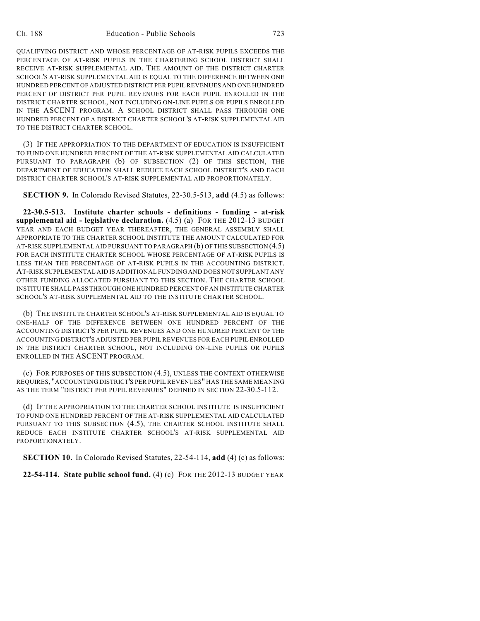QUALIFYING DISTRICT AND WHOSE PERCENTAGE OF AT-RISK PUPILS EXCEEDS THE PERCENTAGE OF AT-RISK PUPILS IN THE CHARTERING SCHOOL DISTRICT SHALL RECEIVE AT-RISK SUPPLEMENTAL AID. THE AMOUNT OF THE DISTRICT CHARTER SCHOOL'S AT-RISK SUPPLEMENTAL AID IS EQUAL TO THE DIFFERENCE BETWEEN ONE HUNDRED PERCENT OF ADJUSTED DISTRICT PER PUPIL REVENUES AND ONE HUNDRED PERCENT OF DISTRICT PER PUPIL REVENUES FOR EACH PUPIL ENROLLED IN THE DISTRICT CHARTER SCHOOL, NOT INCLUDING ON-LINE PUPILS OR PUPILS ENROLLED IN THE ASCENT PROGRAM. A SCHOOL DISTRICT SHALL PASS THROUGH ONE HUNDRED PERCENT OF A DISTRICT CHARTER SCHOOL'S AT-RISK SUPPLEMENTAL AID TO THE DISTRICT CHARTER SCHOOL.

(3) IF THE APPROPRIATION TO THE DEPARTMENT OF EDUCATION IS INSUFFICIENT TO FUND ONE HUNDRED PERCENT OF THE AT-RISK SUPPLEMENTAL AID CALCULATED PURSUANT TO PARAGRAPH (b) OF SUBSECTION (2) OF THIS SECTION, THE DEPARTMENT OF EDUCATION SHALL REDUCE EACH SCHOOL DISTRICT'S AND EACH DISTRICT CHARTER SCHOOL'S AT-RISK SUPPLEMENTAL AID PROPORTIONATELY.

**SECTION 9.** In Colorado Revised Statutes, 22-30.5-513, **add** (4.5) as follows:

**22-30.5-513. Institute charter schools - definitions - funding - at-risk supplemental aid - legislative declaration.** (4.5) (a) FOR THE 2012-13 BUDGET YEAR AND EACH BUDGET YEAR THEREAFTER, THE GENERAL ASSEMBLY SHALL APPROPRIATE TO THE CHARTER SCHOOL INSTITUTE THE AMOUNT CALCULATED FOR AT-RISK SUPPLEMENTAL AID PURSUANT TO PARAGRAPH (b) OFTHIS SUBSECTION (4.5) FOR EACH INSTITUTE CHARTER SCHOOL WHOSE PERCENTAGE OF AT-RISK PUPILS IS LESS THAN THE PERCENTAGE OF AT-RISK PUPILS IN THE ACCOUNTING DISTRICT. AT-RISK SUPPLEMENTAL AID IS ADDITIONAL FUNDING AND DOES NOT SUPPLANT ANY OTHER FUNDING ALLOCATED PURSUANT TO THIS SECTION. THE CHARTER SCHOOL INSTITUTE SHALL PASS THROUGH ONE HUNDRED PERCENT OF AN INSTITUTE CHARTER SCHOOL'S AT-RISK SUPPLEMENTAL AID TO THE INSTITUTE CHARTER SCHOOL.

(b) THE INSTITUTE CHARTER SCHOOL'S AT-RISK SUPPLEMENTAL AID IS EQUAL TO ONE-HALF OF THE DIFFERENCE BETWEEN ONE HUNDRED PERCENT OF THE ACCOUNTING DISTRICT'S PER PUPIL REVENUES AND ONE HUNDRED PERCENT OF THE ACCOUNTING DISTRICT'S ADJUSTED PER PUPIL REVENUES FOR EACH PUPIL ENROLLED IN THE DISTRICT CHARTER SCHOOL, NOT INCLUDING ON-LINE PUPILS OR PUPILS ENROLLED IN THE ASCENT PROGRAM.

(c) FOR PURPOSES OF THIS SUBSECTION (4.5), UNLESS THE CONTEXT OTHERWISE REQUIRES, "ACCOUNTING DISTRICT'S PER PUPIL REVENUES" HAS THE SAME MEANING AS THE TERM "DISTRICT PER PUPIL REVENUES" DEFINED IN SECTION 22-30.5-112.

(d) IF THE APPROPRIATION TO THE CHARTER SCHOOL INSTITUTE IS INSUFFICIENT TO FUND ONE HUNDRED PERCENT OF THE AT-RISK SUPPLEMENTAL AID CALCULATED PURSUANT TO THIS SUBSECTION  $(4.5)$ , THE CHARTER SCHOOL INSTITUTE SHALL REDUCE EACH INSTITUTE CHARTER SCHOOL'S AT-RISK SUPPLEMENTAL AID PROPORTIONATELY.

**SECTION 10.** In Colorado Revised Statutes, 22-54-114, **add** (4) (c) as follows:

**22-54-114. State public school fund.** (4) (c) FOR THE 2012-13 BUDGET YEAR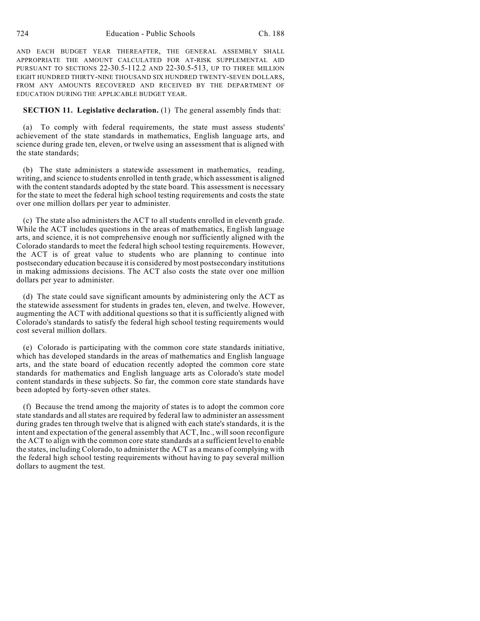AND EACH BUDGET YEAR THEREAFTER, THE GENERAL ASSEMBLY SHALL APPROPRIATE THE AMOUNT CALCULATED FOR AT-RISK SUPPLEMENTAL AID PURSUANT TO SECTIONS 22-30.5-112.2 AND 22-30.5-513, UP TO THREE MILLION EIGHT HUNDRED THIRTY-NINE THOUSAND SIX HUNDRED TWENTY-SEVEN DOLLARS, FROM ANY AMOUNTS RECOVERED AND RECEIVED BY THE DEPARTMENT OF EDUCATION DURING THE APPLICABLE BUDGET YEAR.

#### **SECTION 11. Legislative declaration.** (1) The general assembly finds that:

(a) To comply with federal requirements, the state must assess students' achievement of the state standards in mathematics, English language arts, and science during grade ten, eleven, or twelve using an assessment that is aligned with the state standards;

(b) The state administers a statewide assessment in mathematics, reading, writing, and science to students enrolled in tenth grade, which assessment is aligned with the content standards adopted by the state board. This assessment is necessary for the state to meet the federal high school testing requirements and costs the state over one million dollars per year to administer.

(c) The state also administers the ACT to all students enrolled in eleventh grade. While the ACT includes questions in the areas of mathematics, English language arts, and science, it is not comprehensive enough nor sufficiently aligned with the Colorado standards to meet the federal high school testing requirements. However, the ACT is of great value to students who are planning to continue into postsecondary education because it is considered by most postsecondary institutions in making admissions decisions. The ACT also costs the state over one million dollars per year to administer.

(d) The state could save significant amounts by administering only the ACT as the statewide assessment for students in grades ten, eleven, and twelve. However, augmenting the ACT with additional questions so that it is sufficiently aligned with Colorado's standards to satisfy the federal high school testing requirements would cost several million dollars.

(e) Colorado is participating with the common core state standards initiative, which has developed standards in the areas of mathematics and English language arts, and the state board of education recently adopted the common core state standards for mathematics and English language arts as Colorado's state model content standards in these subjects. So far, the common core state standards have been adopted by forty-seven other states.

(f) Because the trend among the majority of states is to adopt the common core state standards and allstates are required by federal law to administer an assessment during grades ten through twelve that is aligned with each state's standards, it is the intent and expectation of the general assembly that ACT, Inc., willsoon reconfigure the ACT to align with the common core state standards at a sufficient level to enable the states, including Colorado, to administer the ACT as a means of complying with the federal high school testing requirements without having to pay several million dollars to augment the test.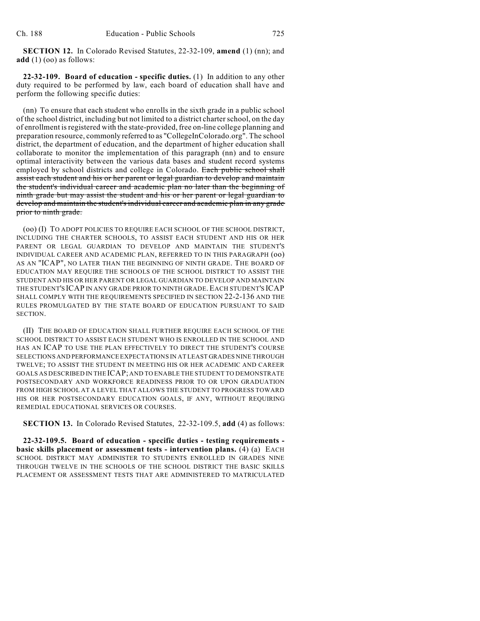**SECTION 12.** In Colorado Revised Statutes, 22-32-109, **amend** (1) (nn); and **add** (1) (oo) as follows:

**22-32-109. Board of education - specific duties.** (1) In addition to any other duty required to be performed by law, each board of education shall have and perform the following specific duties:

(nn) To ensure that each student who enrolls in the sixth grade in a public school of the school district, including but not limited to a district charterschool, on the day of enrollment is registered with the state-provided, free on-line college planning and preparation resource, commonly referred to as "CollegeInColorado.org". The school district, the department of education, and the department of higher education shall collaborate to monitor the implementation of this paragraph (nn) and to ensure optimal interactivity between the various data bases and student record systems employed by school districts and college in Colorado. Each public school shall assist each student and his or her parent or legal guardian to develop and maintain the student's individual career and academic plan no later than the beginning of ninth grade but may assist the student and his or her parent or legal guardian to develop and maintain the student's individual career and academic plan in any grade prior to ninth grade.

(oo) (I) TO ADOPT POLICIES TO REQUIRE EACH SCHOOL OF THE SCHOOL DISTRICT, INCLUDING THE CHARTER SCHOOLS, TO ASSIST EACH STUDENT AND HIS OR HER PARENT OR LEGAL GUARDIAN TO DEVELOP AND MAINTAIN THE STUDENT'S INDIVIDUAL CAREER AND ACADEMIC PLAN, REFERRED TO IN THIS PARAGRAPH (oo) AS AN "ICAP", NO LATER THAN THE BEGINNING OF NINTH GRADE. THE BOARD OF EDUCATION MAY REQUIRE THE SCHOOLS OF THE SCHOOL DISTRICT TO ASSIST THE STUDENT AND HIS OR HER PARENT OR LEGAL GUARDIAN TO DEVELOP AND MAINTAIN THE STUDENT'S ICAP IN ANY GRADE PRIOR TO NINTH GRADE.EACH STUDENT'S ICAP SHALL COMPLY WITH THE REQUIREMENTS SPECIFIED IN SECTION 22-2-136 AND THE RULES PROMULGATED BY THE STATE BOARD OF EDUCATION PURSUANT TO SAID SECTION.

(II) THE BOARD OF EDUCATION SHALL FURTHER REQUIRE EACH SCHOOL OF THE SCHOOL DISTRICT TO ASSIST EACH STUDENT WHO IS ENROLLED IN THE SCHOOL AND HAS AN ICAP TO USE THE PLAN EFFECTIVELY TO DIRECT THE STUDENT'S COURSE SELECTIONS AND PERFORMANCE EXPECTATIONS IN AT LEAST GRADES NINE THROUGH TWELVE; TO ASSIST THE STUDENT IN MEETING HIS OR HER ACADEMIC AND CAREER GOALS AS DESCRIBED IN THE ICAP; AND TO ENABLE THE STUDENT TO DEMONSTRATE POSTSECONDARY AND WORKFORCE READINESS PRIOR TO OR UPON GRADUATION FROM HIGH SCHOOL AT A LEVEL THAT ALLOWS THE STUDENT TO PROGRESS TOWARD HIS OR HER POSTSECONDARY EDUCATION GOALS, IF ANY, WITHOUT REQUIRING REMEDIAL EDUCATIONAL SERVICES OR COURSES.

**SECTION 13.** In Colorado Revised Statutes, 22-32-109.5, **add** (4) as follows:

**22-32-109.5. Board of education - specific duties - testing requirements basic skills placement or assessment tests - intervention plans.** (4) (a) EACH SCHOOL DISTRICT MAY ADMINISTER TO STUDENTS ENROLLED IN GRADES NINE THROUGH TWELVE IN THE SCHOOLS OF THE SCHOOL DISTRICT THE BASIC SKILLS PLACEMENT OR ASSESSMENT TESTS THAT ARE ADMINISTERED TO MATRICULATED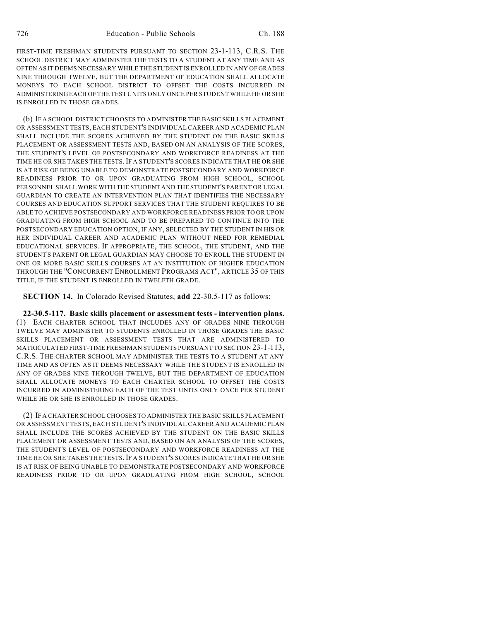FIRST-TIME FRESHMAN STUDENTS PURSUANT TO SECTION 23-1-113, C.R.S. THE SCHOOL DISTRICT MAY ADMINISTER THE TESTS TO A STUDENT AT ANY TIME AND AS OFTEN AS IT DEEMS NECESSARY WHILE THE STUDENT IS ENROLLED IN ANY OF GRADES NINE THROUGH TWELVE, BUT THE DEPARTMENT OF EDUCATION SHALL ALLOCATE MONEYS TO EACH SCHOOL DISTRICT TO OFFSET THE COSTS INCURRED IN ADMINISTERING EACH OF THE TEST UNITS ONLY ONCE PER STUDENT WHILE HE OR SHE IS ENROLLED IN THOSE GRADES.

(b) IF A SCHOOL DISTRICT CHOOSES TO ADMINISTER THE BASIC SKILLS PLACEMENT OR ASSESSMENT TESTS, EACH STUDENT'S INDIVIDUAL CAREER AND ACADEMIC PLAN SHALL INCLUDE THE SCORES ACHIEVED BY THE STUDENT ON THE BASIC SKILLS PLACEMENT OR ASSESSMENT TESTS AND, BASED ON AN ANALYSIS OF THE SCORES, THE STUDENT'S LEVEL OF POSTSECONDARY AND WORKFORCE READINESS AT THE TIME HE OR SHE TAKES THE TESTS.IF A STUDENT'S SCORES INDICATE THAT HE OR SHE IS AT RISK OF BEING UNABLE TO DEMONSTRATE POSTSECONDARY AND WORKFORCE READINESS PRIOR TO OR UPON GRADUATING FROM HIGH SCHOOL, SCHOOL PERSONNEL SHALL WORK WITH THE STUDENT AND THE STUDENT'S PARENT OR LEGAL GUARDIAN TO CREATE AN INTERVENTION PLAN THAT IDENTIFIES THE NECESSARY COURSES AND EDUCATION SUPPORT SERVICES THAT THE STUDENT REQUIRES TO BE ABLE TO ACHIEVE POSTSECONDARY AND WORKFORCE READINESS PRIOR TO OR UPON GRADUATING FROM HIGH SCHOOL AND TO BE PREPARED TO CONTINUE INTO THE POSTSECONDARY EDUCATION OPTION, IF ANY, SELECTED BY THE STUDENT IN HIS OR HER INDIVIDUAL CAREER AND ACADEMIC PLAN WITHOUT NEED FOR REMEDIAL EDUCATIONAL SERVICES. IF APPROPRIATE, THE SCHOOL, THE STUDENT, AND THE STUDENT'S PARENT OR LEGAL GUARDIAN MAY CHOOSE TO ENROLL THE STUDENT IN ONE OR MORE BASIC SKILLS COURSES AT AN INSTITUTION OF HIGHER EDUCATION THROUGH THE "CONCURRENT ENROLLMENT PROGRAMS ACT", ARTICLE 35 OF THIS TITLE, IF THE STUDENT IS ENROLLED IN TWELFTH GRADE.

**SECTION 14.** In Colorado Revised Statutes, **add** 22-30.5-117 as follows:

**22-30.5-117. Basic skills placement or assessment tests - intervention plans.** (1) EACH CHARTER SCHOOL THAT INCLUDES ANY OF GRADES NINE THROUGH TWELVE MAY ADMINISTER TO STUDENTS ENROLLED IN THOSE GRADES THE BASIC SKILLS PLACEMENT OR ASSESSMENT TESTS THAT ARE ADMINISTERED TO MATRICULATED FIRST-TIME FRESHMAN STUDENTS PURSUANT TO SECTION 23-1-113, C.R.S. THE CHARTER SCHOOL MAY ADMINISTER THE TESTS TO A STUDENT AT ANY TIME AND AS OFTEN AS IT DEEMS NECESSARY WHILE THE STUDENT IS ENROLLED IN ANY OF GRADES NINE THROUGH TWELVE, BUT THE DEPARTMENT OF EDUCATION SHALL ALLOCATE MONEYS TO EACH CHARTER SCHOOL TO OFFSET THE COSTS INCURRED IN ADMINISTERING EACH OF THE TEST UNITS ONLY ONCE PER STUDENT WHILE HE OR SHE IS ENROLLED IN THOSE GRADES.

(2) IF A CHARTER SCHOOL CHOOSES TO ADMINISTER THE BASIC SKILLS PLACEMENT OR ASSESSMENT TESTS, EACH STUDENT'S INDIVIDUAL CAREER AND ACADEMIC PLAN SHALL INCLUDE THE SCORES ACHIEVED BY THE STUDENT ON THE BASIC SKILLS PLACEMENT OR ASSESSMENT TESTS AND, BASED ON AN ANALYSIS OF THE SCORES, THE STUDENT'S LEVEL OF POSTSECONDARY AND WORKFORCE READINESS AT THE TIME HE OR SHE TAKES THE TESTS.IF A STUDENT'S SCORES INDICATE THAT HE OR SHE IS AT RISK OF BEING UNABLE TO DEMONSTRATE POSTSECONDARY AND WORKFORCE READINESS PRIOR TO OR UPON GRADUATING FROM HIGH SCHOOL, SCHOOL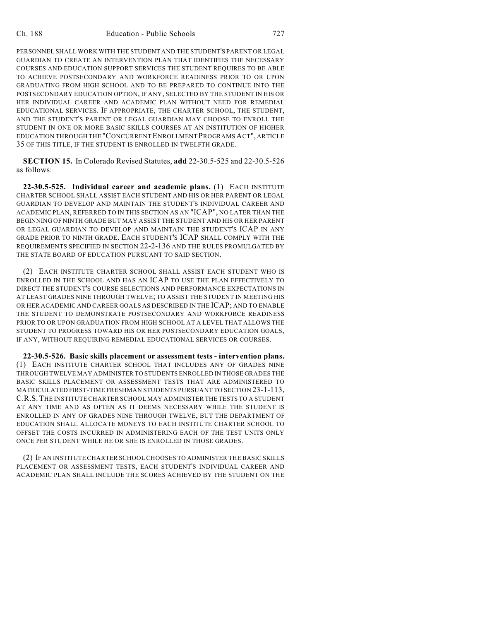PERSONNEL SHALL WORK WITH THE STUDENT AND THE STUDENT'S PARENT OR LEGAL GUARDIAN TO CREATE AN INTERVENTION PLAN THAT IDENTIFIES THE NECESSARY COURSES AND EDUCATION SUPPORT SERVICES THE STUDENT REQUIRES TO BE ABLE TO ACHIEVE POSTSECONDARY AND WORKFORCE READINESS PRIOR TO OR UPON GRADUATING FROM HIGH SCHOOL AND TO BE PREPARED TO CONTINUE INTO THE POSTSECONDARY EDUCATION OPTION, IF ANY, SELECTED BY THE STUDENT IN HIS OR HER INDIVIDUAL CAREER AND ACADEMIC PLAN WITHOUT NEED FOR REMEDIAL EDUCATIONAL SERVICES. IF APPROPRIATE, THE CHARTER SCHOOL, THE STUDENT, AND THE STUDENT'S PARENT OR LEGAL GUARDIAN MAY CHOOSE TO ENROLL THE STUDENT IN ONE OR MORE BASIC SKILLS COURSES AT AN INSTITUTION OF HIGHER EDUCATION THROUGH THE "CONCURRENT ENROLLMENT PROGRAMSACT", ARTICLE 35 OF THIS TITLE, IF THE STUDENT IS ENROLLED IN TWELFTH GRADE.

**SECTION 15.** In Colorado Revised Statutes, **add** 22-30.5-525 and 22-30.5-526 as follows:

**22-30.5-525. Individual career and academic plans.** (1) EACH INSTITUTE CHARTER SCHOOL SHALL ASSIST EACH STUDENT AND HIS OR HER PARENT OR LEGAL GUARDIAN TO DEVELOP AND MAINTAIN THE STUDENT'S INDIVIDUAL CAREER AND ACADEMIC PLAN, REFERRED TO IN THIS SECTION AS AN "ICAP", NO LATER THAN THE BEGINNING OF NINTH GRADE BUT MAY ASSIST THE STUDENT AND HIS OR HER PARENT OR LEGAL GUARDIAN TO DEVELOP AND MAINTAIN THE STUDENT'S ICAP IN ANY GRADE PRIOR TO NINTH GRADE. EACH STUDENT'S ICAP SHALL COMPLY WITH THE REQUIREMENTS SPECIFIED IN SECTION 22-2-136 AND THE RULES PROMULGATED BY THE STATE BOARD OF EDUCATION PURSUANT TO SAID SECTION.

(2) EACH INSTITUTE CHARTER SCHOOL SHALL ASSIST EACH STUDENT WHO IS ENROLLED IN THE SCHOOL AND HAS AN ICAP TO USE THE PLAN EFFECTIVELY TO DIRECT THE STUDENT'S COURSE SELECTIONS AND PERFORMANCE EXPECTATIONS IN AT LEAST GRADES NINE THROUGH TWELVE; TO ASSIST THE STUDENT IN MEETING HIS OR HER ACADEMIC AND CAREER GOALS AS DESCRIBED IN THE ICAP; AND TO ENABLE THE STUDENT TO DEMONSTRATE POSTSECONDARY AND WORKFORCE READINESS PRIOR TO OR UPON GRADUATION FROM HIGH SCHOOL AT A LEVEL THAT ALLOWS THE STUDENT TO PROGRESS TOWARD HIS OR HER POSTSECONDARY EDUCATION GOALS, IF ANY, WITHOUT REQUIRING REMEDIAL EDUCATIONAL SERVICES OR COURSES.

**22-30.5-526. Basic skills placement or assessment tests - intervention plans.** (1) EACH INSTITUTE CHARTER SCHOOL THAT INCLUDES ANY OF GRADES NINE THROUGH TWELVE MAY ADMINISTER TO STUDENTS ENROLLED IN THOSE GRADES THE BASIC SKILLS PLACEMENT OR ASSESSMENT TESTS THAT ARE ADMINISTERED TO MATRICULATED FIRST-TIME FRESHMAN STUDENTS PURSUANT TO SECTION 23-1-113, C.R.S.THE INSTITUTE CHARTER SCHOOL MAY ADMINISTER THE TESTS TO A STUDENT AT ANY TIME AND AS OFTEN AS IT DEEMS NECESSARY WHILE THE STUDENT IS ENROLLED IN ANY OF GRADES NINE THROUGH TWELVE, BUT THE DEPARTMENT OF EDUCATION SHALL ALLOCATE MONEYS TO EACH INSTITUTE CHARTER SCHOOL TO OFFSET THE COSTS INCURRED IN ADMINISTERING EACH OF THE TEST UNITS ONLY ONCE PER STUDENT WHILE HE OR SHE IS ENROLLED IN THOSE GRADES.

(2) IF AN INSTITUTE CHARTER SCHOOL CHOOSES TO ADMINISTER THE BASIC SKILLS PLACEMENT OR ASSESSMENT TESTS, EACH STUDENT'S INDIVIDUAL CAREER AND ACADEMIC PLAN SHALL INCLUDE THE SCORES ACHIEVED BY THE STUDENT ON THE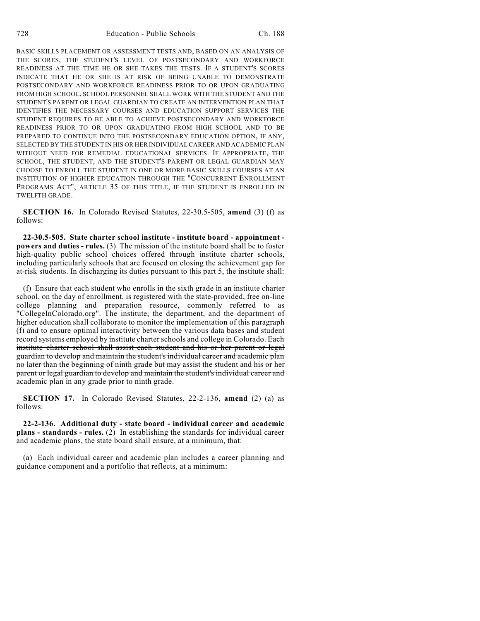BASIC SKILLS PLACEMENT OR ASSESSMENT TESTS AND, BASED ON AN ANALYSIS OF THE SCORES, THE STUDENT'S LEVEL OF POSTSECONDARY AND WORKFORCE READINESS AT THE TIME HE OR SHE TAKES THE TESTS. IF A STUDENT'S SCORES INDICATE THAT HE OR SHE IS AT RISK OF BEING UNABLE TO DEMONSTRATE POSTSECONDARY AND WORKFORCE READINESS PRIOR TO OR UPON GRADUATING FROM HIGH SCHOOL, SCHOOL PERSONNEL SHALL WORK WITH THE STUDENT AND THE STUDENT'S PARENT OR LEGAL GUARDIAN TO CREATE AN INTERVENTION PLAN THAT IDENTIFIES THE NECESSARY COURSES AND EDUCATION SUPPORT SERVICES THE STUDENT REQUIRES TO BE ABLE TO ACHIEVE POSTSECONDARY AND WORKFORCE READINESS PRIOR TO OR UPON GRADUATING FROM HIGH SCHOOL AND TO BE PREPARED TO CONTINUE INTO THE POSTSECONDARY EDUCATION OPTION, IF ANY, SELECTED BY THE STUDENT IN HIS OR HER INDIVIDUAL CAREER AND ACADEMIC PLAN WITHOUT NEED FOR REMEDIAL EDUCATIONAL SERVICES. IF APPROPRIATE, THE SCHOOL, THE STUDENT, AND THE STUDENT'S PARENT OR LEGAL GUARDIAN MAY CHOOSE TO ENROLL THE STUDENT IN ONE OR MORE BASIC SKILLS COURSES AT AN INSTITUTION OF HIGHER EDUCATION THROUGH THE "CONCURRENT ENROLLMENT PROGRAMS ACT", ARTICLE 35 OF THIS TITLE, IF THE STUDENT IS ENROLLED IN TWELFTH GRADE.

**SECTION 16.** In Colorado Revised Statutes, 22-30.5-505, **amend** (3) (f) as follows:

**22-30.5-505. State charter school institute - institute board - appointment powers and duties - rules.** (3) The mission of the institute board shall be to foster high-quality public school choices offered through institute charter schools, including particularly schools that are focused on closing the achievement gap for at-risk students. In discharging its duties pursuant to this part 5, the institute shall:

(f) Ensure that each student who enrolls in the sixth grade in an institute charter school, on the day of enrollment, is registered with the state-provided, free on-line college planning and preparation resource, commonly referred to as "CollegeInColorado.org". The institute, the department, and the department of higher education shall collaborate to monitor the implementation of this paragraph (f) and to ensure optimal interactivity between the various data bases and student record systems employed by institute charter schools and college in Colorado. Each institute charter school shall assist each student and his or her parent or legal guardian to develop and maintain the student's individual career and academic plan no later than the beginning of ninth grade but may assist the student and his or her parent or legal guardian to develop and maintain the student's individual career and academic plan in any grade prior to ninth grade.

**SECTION 17.** In Colorado Revised Statutes, 22-2-136, **amend** (2) (a) as follows:

**22-2-136. Additional duty - state board - individual career and academic plans - standards - rules.** (2) In establishing the standards for individual career and academic plans, the state board shall ensure, at a minimum, that:

(a) Each individual career and academic plan includes a career planning and guidance component and a portfolio that reflects, at a minimum: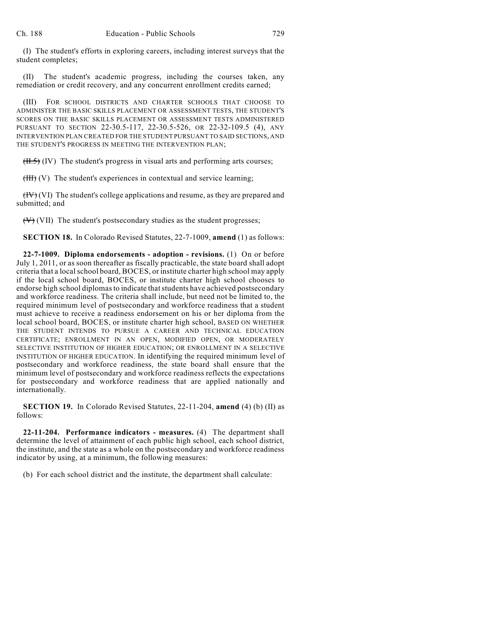(I) The student's efforts in exploring careers, including interest surveys that the student completes;

(II) The student's academic progress, including the courses taken, any remediation or credit recovery, and any concurrent enrollment credits earned;

(III) FOR SCHOOL DISTRICTS AND CHARTER SCHOOLS THAT CHOOSE TO ADMINISTER THE BASIC SKILLS PLACEMENT OR ASSESSMENT TESTS, THE STUDENT'S SCORES ON THE BASIC SKILLS PLACEMENT OR ASSESSMENT TESTS ADMINISTERED PURSUANT TO SECTION 22-30.5-117, 22-30.5-526, OR 22-32-109.5 (4), ANY INTERVENTION PLAN CREATED FOR THE STUDENT PURSUANT TO SAID SECTIONS, AND THE STUDENT'S PROGRESS IN MEETING THE INTERVENTION PLAN;

 $(H.5)$  (IV) The student's progress in visual arts and performing arts courses;

 $(HH)(V)$  The student's experiences in contextual and service learning;

 $(HV)(V)$  The student's college applications and resume, as they are prepared and submitted; and

 $(\forall)$  (VII) The student's postsecondary studies as the student progresses;

**SECTION 18.** In Colorado Revised Statutes, 22-7-1009, **amend** (1) as follows:

**22-7-1009. Diploma endorsements - adoption - revisions.** (1) On or before July 1, 2011, or as soon thereafter as fiscally practicable, the state board shall adopt criteria that a local school board, BOCES, or institute charter high school may apply if the local school board, BOCES, or institute charter high school chooses to endorse high school diplomas to indicate that students have achieved postsecondary and workforce readiness. The criteria shall include, but need not be limited to, the required minimum level of postsecondary and workforce readiness that a student must achieve to receive a readiness endorsement on his or her diploma from the local school board, BOCES, or institute charter high school, BASED ON WHETHER THE STUDENT INTENDS TO PURSUE A CAREER AND TECHNICAL EDUCATION CERTIFICATE; ENROLLMENT IN AN OPEN, MODIFIED OPEN, OR MODERATELY SELECTIVE INSTITUTION OF HIGHER EDUCATION; OR ENROLLMENT IN A SELECTIVE INSTITUTION OF HIGHER EDUCATION. In identifying the required minimum level of postsecondary and workforce readiness, the state board shall ensure that the minimum level of postsecondary and workforce readiness reflects the expectations for postsecondary and workforce readiness that are applied nationally and internationally.

**SECTION 19.** In Colorado Revised Statutes, 22-11-204, **amend** (4) (b) (II) as follows:

**22-11-204. Performance indicators - measures.** (4) The department shall determine the level of attainment of each public high school, each school district, the institute, and the state as a whole on the postsecondary and workforce readiness indicator by using, at a minimum, the following measures:

(b) For each school district and the institute, the department shall calculate: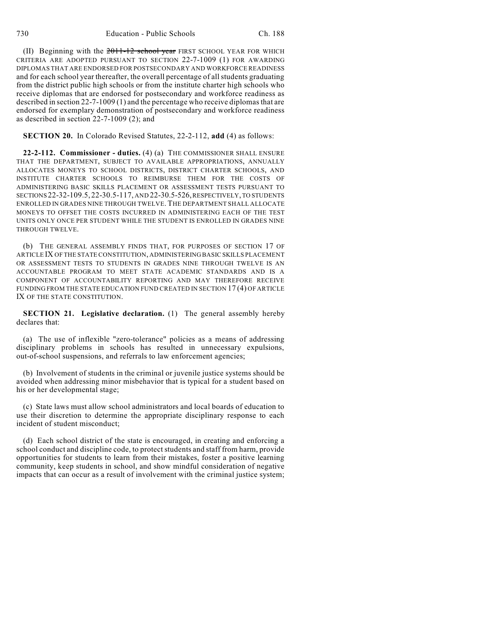(II) Beginning with the  $2011-12$  school year FIRST SCHOOL YEAR FOR WHICH CRITERIA ARE ADOPTED PURSUANT TO SECTION 22-7-1009 (1) FOR AWARDING DIPLOMAS THAT ARE ENDORSED FOR POSTSECONDARY AND WORKFORCE READINESS and for each school year thereafter, the overall percentage of all students graduating from the district public high schools or from the institute charter high schools who receive diplomas that are endorsed for postsecondary and workforce readiness as described in section 22-7-1009 (1) and the percentage who receive diplomasthat are endorsed for exemplary demonstration of postsecondary and workforce readiness as described in section 22-7-1009 (2); and

#### **SECTION 20.** In Colorado Revised Statutes, 22-2-112, **add** (4) as follows:

**22-2-112. Commissioner - duties.** (4) (a) THE COMMISSIONER SHALL ENSURE THAT THE DEPARTMENT, SUBJECT TO AVAILABLE APPROPRIATIONS, ANNUALLY ALLOCATES MONEYS TO SCHOOL DISTRICTS, DISTRICT CHARTER SCHOOLS, AND INSTITUTE CHARTER SCHOOLS TO REIMBURSE THEM FOR THE COSTS OF ADMINISTERING BASIC SKILLS PLACEMENT OR ASSESSMENT TESTS PURSUANT TO SECTIONS 22-32-109.5, 22-30.5-117, AND 22-30.5-526, RESPECTIVELY, TO STUDENTS ENROLLED IN GRADES NINE THROUGH TWELVE. THE DEPARTMENT SHALL ALLOCATE MONEYS TO OFFSET THE COSTS INCURRED IN ADMINISTERING EACH OF THE TEST UNITS ONLY ONCE PER STUDENT WHILE THE STUDENT IS ENROLLED IN GRADES NINE THROUGH TWELVE.

(b) THE GENERAL ASSEMBLY FINDS THAT, FOR PURPOSES OF SECTION 17 OF ARTICLE IX OF THE STATE CONSTITUTION, ADMINISTERING BASIC SKILLS PLACEMENT OR ASSESSMENT TESTS TO STUDENTS IN GRADES NINE THROUGH TWELVE IS AN ACCOUNTABLE PROGRAM TO MEET STATE ACADEMIC STANDARDS AND IS A COMPONENT OF ACCOUNTABILITY REPORTING AND MAY THEREFORE RECEIVE FUNDING FROM THE STATE EDUCATION FUND CREATED IN SECTION 17 (4) OF ARTICLE IX OF THE STATE CONSTITUTION.

**SECTION 21. Legislative declaration.** (1) The general assembly hereby declares that:

(a) The use of inflexible "zero-tolerance" policies as a means of addressing disciplinary problems in schools has resulted in unnecessary expulsions, out-of-school suspensions, and referrals to law enforcement agencies;

(b) Involvement of students in the criminal or juvenile justice systems should be avoided when addressing minor misbehavior that is typical for a student based on his or her developmental stage;

(c) State laws must allow school administrators and local boards of education to use their discretion to determine the appropriate disciplinary response to each incident of student misconduct;

(d) Each school district of the state is encouraged, in creating and enforcing a school conduct and discipline code, to protect students and staff from harm, provide opportunities for students to learn from their mistakes, foster a positive learning community, keep students in school, and show mindful consideration of negative impacts that can occur as a result of involvement with the criminal justice system;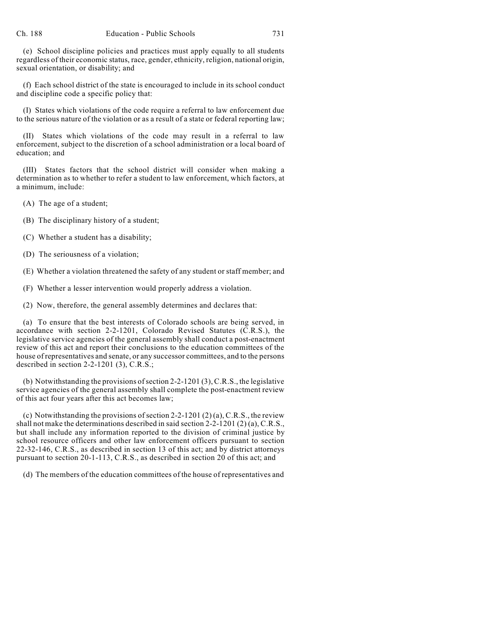(e) School discipline policies and practices must apply equally to all students regardless of their economic status, race, gender, ethnicity, religion, national origin, sexual orientation, or disability; and

(f) Each school district of the state is encouraged to include in its school conduct and discipline code a specific policy that:

(I) States which violations of the code require a referral to law enforcement due to the serious nature of the violation or as a result of a state or federal reporting law;

(II) States which violations of the code may result in a referral to law enforcement, subject to the discretion of a school administration or a local board of education; and

(III) States factors that the school district will consider when making a determination as to whether to refer a student to law enforcement, which factors, at a minimum, include:

(A) The age of a student;

(B) The disciplinary history of a student;

(C) Whether a student has a disability;

(D) The seriousness of a violation;

(E) Whether a violation threatened the safety of any student or staff member; and

(F) Whether a lesser intervention would properly address a violation.

(2) Now, therefore, the general assembly determines and declares that:

(a) To ensure that the best interests of Colorado schools are being served, in accordance with section 2-2-1201, Colorado Revised Statutes (C.R.S.), the legislative service agencies of the general assembly shall conduct a post-enactment review of this act and report their conclusions to the education committees of the house of representatives and senate, or any successor committees, and to the persons described in section 2-2-1201 (3), C.R.S.;

(b) Notwithstanding the provisions of section 2-2-1201  $(3)$ , C.R.S., the legislative service agencies of the general assembly shall complete the post-enactment review of this act four years after this act becomes law;

(c) Notwithstanding the provisions of section 2-2-1201 (2) (a), C.R.S., the review shall not make the determinations described in said section 2-2-1201 (2) (a), C.R.S., but shall include any information reported to the division of criminal justice by school resource officers and other law enforcement officers pursuant to section 22-32-146, C.R.S., as described in section 13 of this act; and by district attorneys pursuant to section 20-1-113, C.R.S., as described in section 20 of this act; and

(d) The members of the education committees of the house of representatives and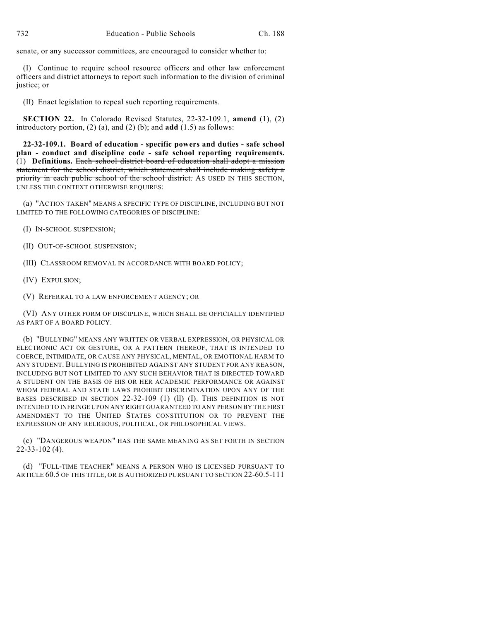senate, or any successor committees, are encouraged to consider whether to:

(I) Continue to require school resource officers and other law enforcement officers and district attorneys to report such information to the division of criminal justice; or

(II) Enact legislation to repeal such reporting requirements.

**SECTION 22.** In Colorado Revised Statutes, 22-32-109.1, **amend** (1), (2) introductory portion,  $(2)$  (a), and  $(2)$  (b); and **add**  $(1.5)$  as follows:

**22-32-109.1. Board of education - specific powers and duties - safe school plan - conduct and discipline code - safe school reporting requirements.** (1) **Definitions.** Each school district board of education shall adopt a mission statement for the school district, which statement shall include making safety a priority in each public school of the school district. As USED IN THIS SECTION, UNLESS THE CONTEXT OTHERWISE REQUIRES:

(a) "ACTION TAKEN" MEANS A SPECIFIC TYPE OF DISCIPLINE, INCLUDING BUT NOT LIMITED TO THE FOLLOWING CATEGORIES OF DISCIPLINE:

(I) IN-SCHOOL SUSPENSION;

(II) OUT-OF-SCHOOL SUSPENSION;

(III) CLASSROOM REMOVAL IN ACCORDANCE WITH BOARD POLICY;

(IV) EXPULSION;

(V) REFERRAL TO A LAW ENFORCEMENT AGENCY; OR

(VI) ANY OTHER FORM OF DISCIPLINE, WHICH SHALL BE OFFICIALLY IDENTIFIED AS PART OF A BOARD POLICY.

(b) "BULLYING" MEANS ANY WRITTEN OR VERBAL EXPRESSION, OR PHYSICAL OR ELECTRONIC ACT OR GESTURE, OR A PATTERN THEREOF, THAT IS INTENDED TO COERCE, INTIMIDATE, OR CAUSE ANY PHYSICAL, MENTAL, OR EMOTIONAL HARM TO ANY STUDENT. BULLYING IS PROHIBITED AGAINST ANY STUDENT FOR ANY REASON, INCLUDING BUT NOT LIMITED TO ANY SUCH BEHAVIOR THAT IS DIRECTED TOWARD A STUDENT ON THE BASIS OF HIS OR HER ACADEMIC PERFORMANCE OR AGAINST WHOM FEDERAL AND STATE LAWS PROHIBIT DISCRIMINATION UPON ANY OF THE BASES DESCRIBED IN SECTION 22-32-109 (1) (1) (I). THIS DEFINITION IS NOT INTENDED TO INFRINGE UPON ANY RIGHT GUARANTEED TO ANY PERSON BY THE FIRST AMENDMENT TO THE UNITED STATES CONSTITUTION OR TO PREVENT THE EXPRESSION OF ANY RELIGIOUS, POLITICAL, OR PHILOSOPHICAL VIEWS.

(c) "DANGEROUS WEAPON" HAS THE SAME MEANING AS SET FORTH IN SECTION 22-33-102 (4).

(d) "FULL-TIME TEACHER" MEANS A PERSON WHO IS LICENSED PURSUANT TO ARTICLE 60.5 OF THIS TITLE, OR IS AUTHORIZED PURSUANT TO SECTION 22-60.5-111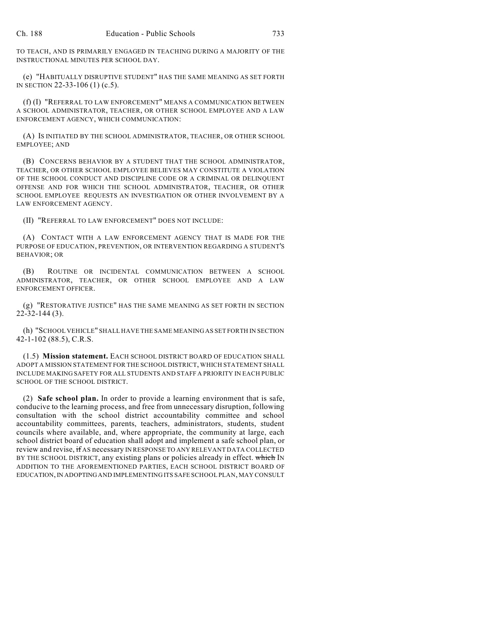TO TEACH, AND IS PRIMARILY ENGAGED IN TEACHING DURING A MAJORITY OF THE INSTRUCTIONAL MINUTES PER SCHOOL DAY.

(e) "HABITUALLY DISRUPTIVE STUDENT" HAS THE SAME MEANING AS SET FORTH IN SECTION 22-33-106 (1) (c.5).

(f) (I) "REFERRAL TO LAW ENFORCEMENT" MEANS A COMMUNICATION BETWEEN A SCHOOL ADMINISTRATOR, TEACHER, OR OTHER SCHOOL EMPLOYEE AND A LAW ENFORCEMENT AGENCY, WHICH COMMUNICATION:

(A) IS INITIATED BY THE SCHOOL ADMINISTRATOR, TEACHER, OR OTHER SCHOOL EMPLOYEE; AND

(B) CONCERNS BEHAVIOR BY A STUDENT THAT THE SCHOOL ADMINISTRATOR, TEACHER, OR OTHER SCHOOL EMPLOYEE BELIEVES MAY CONSTITUTE A VIOLATION OF THE SCHOOL CONDUCT AND DISCIPLINE CODE OR A CRIMINAL OR DELINQUENT OFFENSE AND FOR WHICH THE SCHOOL ADMINISTRATOR, TEACHER, OR OTHER SCHOOL EMPLOYEE REQUESTS AN INVESTIGATION OR OTHER INVOLVEMENT BY A LAW ENFORCEMENT AGENCY.

(II) "REFERRAL TO LAW ENFORCEMENT" DOES NOT INCLUDE:

(A) CONTACT WITH A LAW ENFORCEMENT AGENCY THAT IS MADE FOR THE PURPOSE OF EDUCATION, PREVENTION, OR INTERVENTION REGARDING A STUDENT'S BEHAVIOR; OR

(B) ROUTINE OR INCIDENTAL COMMUNICATION BETWEEN A SCHOOL ADMINISTRATOR, TEACHER, OR OTHER SCHOOL EMPLOYEE AND A LAW ENFORCEMENT OFFICER.

(g) "RESTORATIVE JUSTICE" HAS THE SAME MEANING AS SET FORTH IN SECTION 22-32-144 (3).

(h) "SCHOOL VEHICLE" SHALL HAVE THE SAME MEANING AS SET FORTH IN SECTION 42-1-102 (88.5), C.R.S.

(1.5) **Mission statement.** EACH SCHOOL DISTRICT BOARD OF EDUCATION SHALL ADOPT A MISSION STATEMENT FOR THE SCHOOL DISTRICT, WHICH STATEMENT SHALL INCLUDE MAKING SAFETY FOR ALL STUDENTS AND STAFF A PRIORITY IN EACH PUBLIC SCHOOL OF THE SCHOOL DISTRICT.

(2) **Safe school plan.** In order to provide a learning environment that is safe, conducive to the learning process, and free from unnecessary disruption, following consultation with the school district accountability committee and school accountability committees, parents, teachers, administrators, students, student councils where available, and, where appropriate, the community at large, each school district board of education shall adopt and implement a safe school plan, or review and revise, if AS necessary IN RESPONSE TO ANY RELEVANT DATA COLLECTED BY THE SCHOOL DISTRICT, any existing plans or policies already in effect. which IN ADDITION TO THE AFOREMENTIONED PARTIES, EACH SCHOOL DISTRICT BOARD OF EDUCATION,IN ADOPTINGAND IMPLEMENTING ITS SAFE SCHOOL PLAN, MAY CONSULT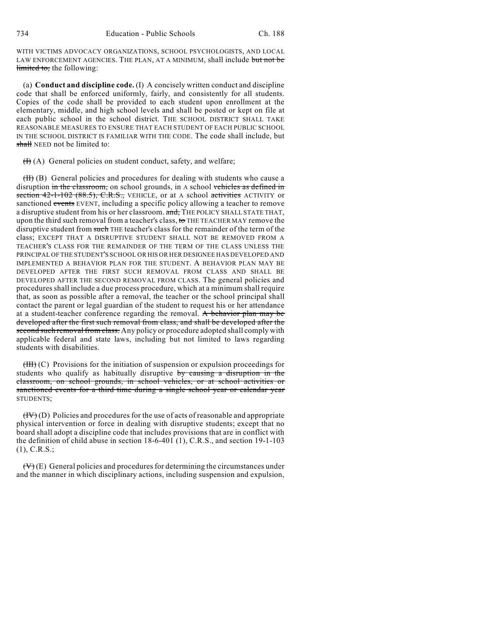WITH VICTIMS ADVOCACY ORGANIZATIONS, SCHOOL PSYCHOLOGISTS, AND LOCAL LAW ENFORCEMENT AGENCIES. THE PLAN, AT A MINIMUM, shall include but not be limited to, the following:

(a) **Conduct and discipline code.** (I) A concisely written conduct and discipline code that shall be enforced uniformly, fairly, and consistently for all students. Copies of the code shall be provided to each student upon enrollment at the elementary, middle, and high school levels and shall be posted or kept on file at each public school in the school district. THE SCHOOL DISTRICT SHALL TAKE REASONABLE MEASURES TO ENSURE THAT EACH STUDENT OF EACH PUBLIC SCHOOL IN THE SCHOOL DISTRICT IS FAMILIAR WITH THE CODE. The code shall include, but shall NEED not be limited to:

 $(H)$  (A) General policies on student conduct, safety, and welfare;

(II) (B) General policies and procedures for dealing with students who cause a disruption in the classroom, on school grounds, in A school vehicles as defined in section  $42-1-102$  (88.5), C.R.S., VEHICLE, or at A school activities ACTIVITY or sanctioned events EVENT, including a specific policy allowing a teacher to remove a disruptive student from his or her classroom. and, THE POLICY SHALL STATE THAT, upon the third such removal from a teacher's class, to THE TEACHER MAY remove the disruptive student from such THE teacher's class for the remainder of the term of the class; EXCEPT THAT A DISRUPTIVE STUDENT SHALL NOT BE REMOVED FROM A TEACHER'S CLASS FOR THE REMAINDER OF THE TERM OF THE CLASS UNLESS THE PRINCIPAL OF THE STUDENT'S SCHOOL OR HIS OR HER DESIGNEE HAS DEVELOPED AND IMPLEMENTED A BEHAVIOR PLAN FOR THE STUDENT. A BEHAVIOR PLAN MAY BE DEVELOPED AFTER THE FIRST SUCH REMOVAL FROM CLASS AND SHALL BE DEVELOPED AFTER THE SECOND REMOVAL FROM CLASS. The general policies and procedures shall include a due process procedure, which at a minimum shall require that, as soon as possible after a removal, the teacher or the school principal shall contact the parent or legal guardian of the student to request his or her attendance at a student-teacher conference regarding the removal. A behavior plan may be developed after the first such removal from class, and shall be developed after the second such removal from class. Any policy or procedure adopted shall comply with applicable federal and state laws, including but not limited to laws regarding students with disabilities.

 $(HH)(C)$  Provisions for the initiation of suspension or expulsion proceedings for students who qualify as habitually disruptive by causing a disruption in the classroom, on school grounds, in school vehicles, or at school activities or sanctioned events for a third time during a single school year or calendar year STUDENTS;

 $(HV)(D)$  Policies and procedures for the use of acts of reasonable and appropriate physical intervention or force in dealing with disruptive students; except that no board shall adopt a discipline code that includes provisions that are in conflict with the definition of child abuse in section 18-6-401 (1), C.R.S., and section 19-1-103 (1), C.R.S.;

 $(\forall)$  (E) General policies and procedures for determining the circumstances under and the manner in which disciplinary actions, including suspension and expulsion,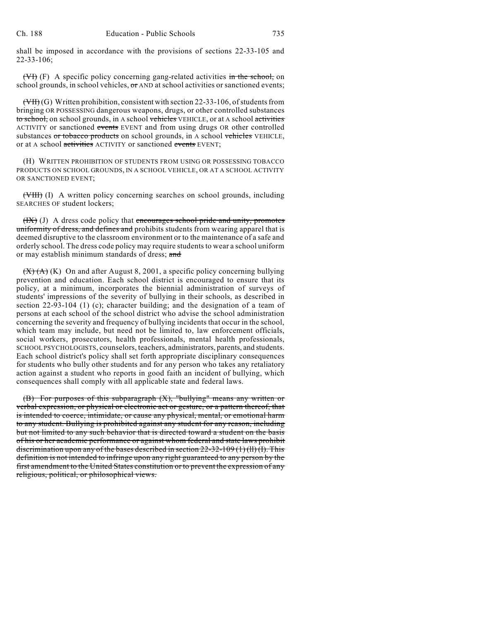shall be imposed in accordance with the provisions of sections 22-33-105 and 22-33-106;

(VI) (F) A specific policy concerning gang-related activities in the school, on school grounds, in school vehicles,  $\sigma$ r AND at school activities or sanctioned events;

 $(\overline{\text{VH}})(G)$  Written prohibition, consistent with section 22-33-106, of students from bringing OR POSSESSING dangerous weapons, drugs, or other controlled substances to school, on school grounds, in A school vehicles VEHICLE, or at A school activities ACTIVITY or sanctioned events EVENT and from using drugs OR other controlled substances or tobacco products on school grounds, in A school vehicles VEHICLE, or at A school activities ACTIVITY or sanctioned events EVENT:

(H) WRITTEN PROHIBITION OF STUDENTS FROM USING OR POSSESSING TOBACCO PRODUCTS ON SCHOOL GROUNDS, IN A SCHOOL VEHICLE, OR AT A SCHOOL ACTIVITY OR SANCTIONED EVENT;

(VIII) (I) A written policy concerning searches on school grounds, including SEARCHES OF student lockers;

 $(HX)$  (J) A dress code policy that encourages school pride and unity, promotes uniformity of dress, and defines and prohibits students from wearing apparel that is deemed disruptive to the classroom environment or to the maintenance of a safe and orderly school. The dress code policy may require studentsto wear a school uniform or may establish minimum standards of dress; and

 $(X)(A)(K)$  On and after August 8, 2001, a specific policy concerning bullying prevention and education. Each school district is encouraged to ensure that its policy, at a minimum, incorporates the biennial administration of surveys of students' impressions of the severity of bullying in their schools, as described in section 22-93-104 (1) (c); character building; and the designation of a team of persons at each school of the school district who advise the school administration concerning the severity and frequency of bullying incidents that occur in the school, which team may include, but need not be limited to, law enforcement officials, social workers, prosecutors, health professionals, mental health professionals, SCHOOL PSYCHOLOGISTS, counselors, teachers, administrators, parents, and students. Each school district's policy shall set forth appropriate disciplinary consequences for students who bully other students and for any person who takes any retaliatory action against a student who reports in good faith an incident of bullying, which consequences shall comply with all applicable state and federal laws.

(B) For purposes of this subparagraph (X), "bullying" means any written or verbal expression, or physical or electronic act or gesture, or a pattern thereof, that is intended to coerce, intimidate, or cause any physical, mental, or emotional harm to any student. Bullying is prohibited against any student for any reason, including but not limited to any such behavior that is directed toward a student on the basis of his or her academic performance or against whom federal and state laws prohibit discrimination upon any of the bases described in section  $22-32-109(1)(11)(1)$ . This definition is not intended to infringe upon any right guaranteed to any person by the first amendment to the United States constitution or to prevent the expression of any religious, political, or philosophical views.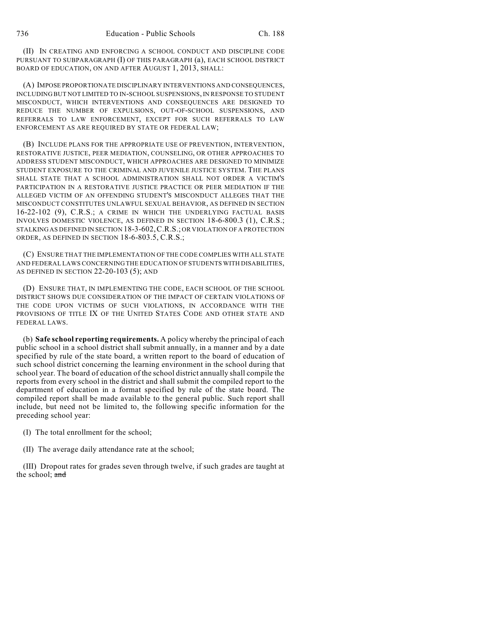(II) IN CREATING AND ENFORCING A SCHOOL CONDUCT AND DISCIPLINE CODE PURSUANT TO SUBPARAGRAPH (I) OF THIS PARAGRAPH (a), EACH SCHOOL DISTRICT BOARD OF EDUCATION, ON AND AFTER AUGUST 1, 2013, SHALL:

(A) IMPOSE PROPORTIONATE DISCIPLINARY INTERVENTIONS AND CONSEQUENCES, INCLUDING BUT NOT LIMITED TO IN-SCHOOL SUSPENSIONS, IN RESPONSE TO STUDENT MISCONDUCT, WHICH INTERVENTIONS AND CONSEQUENCES ARE DESIGNED TO REDUCE THE NUMBER OF EXPULSIONS, OUT-OF-SCHOOL SUSPENSIONS, AND REFERRALS TO LAW ENFORCEMENT, EXCEPT FOR SUCH REFERRALS TO LAW ENFORCEMENT AS ARE REQUIRED BY STATE OR FEDERAL LAW;

(B) INCLUDE PLANS FOR THE APPROPRIATE USE OF PREVENTION, INTERVENTION, RESTORATIVE JUSTICE, PEER MEDIATION, COUNSELING, OR OTHER APPROACHES TO ADDRESS STUDENT MISCONDUCT, WHICH APPROACHES ARE DESIGNED TO MINIMIZE STUDENT EXPOSURE TO THE CRIMINAL AND JUVENILE JUSTICE SYSTEM. THE PLANS SHALL STATE THAT A SCHOOL ADMINISTRATION SHALL NOT ORDER A VICTIM'S PARTICIPATION IN A RESTORATIVE JUSTICE PRACTICE OR PEER MEDIATION IF THE ALLEGED VICTIM OF AN OFFENDING STUDENT'S MISCONDUCT ALLEGES THAT THE MISCONDUCT CONSTITUTES UNLAWFUL SEXUAL BEHAVIOR, AS DEFINED IN SECTION 16-22-102 (9), C.R.S.; A CRIME IN WHICH THE UNDERLYING FACTUAL BASIS INVOLVES DOMESTIC VIOLENCE, AS DEFINED IN SECTION 18-6-800.3 (1), C.R.S.; STALKING AS DEFINED IN SECTION 18-3-602,C.R.S.; OR VIOLATION OF A PROTECTION ORDER, AS DEFINED IN SECTION 18-6-803.5, C.R.S.;

(C) ENSURE THAT THE IMPLEMENTATION OF THE CODE COMPLIES WITH ALL STATE AND FEDERAL LAWS CONCERNING THE EDUCATION OF STUDENTS WITH DISABILITIES, AS DEFINED IN SECTION 22-20-103 (5); AND

(D) ENSURE THAT, IN IMPLEMENTING THE CODE, EACH SCHOOL OF THE SCHOOL DISTRICT SHOWS DUE CONSIDERATION OF THE IMPACT OF CERTAIN VIOLATIONS OF THE CODE UPON VICTIMS OF SUCH VIOLATIONS, IN ACCORDANCE WITH THE PROVISIONS OF TITLE IX OF THE UNITED STATES CODE AND OTHER STATE AND FEDERAL LAWS.

(b) **Safe school reporting requirements.** A policy whereby the principal of each public school in a school district shall submit annually, in a manner and by a date specified by rule of the state board, a written report to the board of education of such school district concerning the learning environment in the school during that school year. The board of education of the school district annually shall compile the reports from every school in the district and shall submit the compiled report to the department of education in a format specified by rule of the state board. The compiled report shall be made available to the general public. Such report shall include, but need not be limited to, the following specific information for the preceding school year:

(I) The total enrollment for the school;

(II) The average daily attendance rate at the school;

(III) Dropout rates for grades seven through twelve, if such grades are taught at the school; and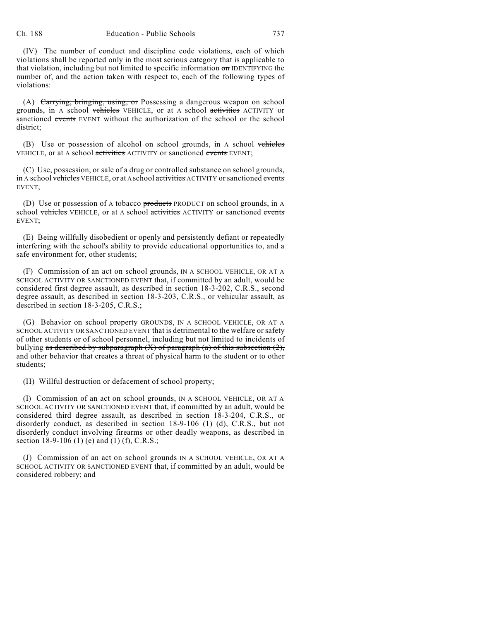(IV) The number of conduct and discipline code violations, each of which violations shall be reported only in the most serious category that is applicable to that violation, including but not limited to specific information on IDENTIFYING the number of, and the action taken with respect to, each of the following types of violations:

(A) Carrying, bringing, using, or Possessing a dangerous weapon on school grounds, in A school vehicles VEHICLE, or at A school activities ACTIVITY or sanctioned events EVENT without the authorization of the school or the school district;

(B) Use or possession of alcohol on school grounds, in A school vehicles VEHICLE, or at A school activities ACTIVITY or sanctioned events EVENT;

(C) Use, possession, or sale of a drug or controlled substance on school grounds, in A school vehicles VEHICLE, or at A school activities ACTIVITY or sanctioned events EVENT;

(D) Use or possession of A tobacco **products** PRODUCT on school grounds, in A school vehicles VEHICLE, or at A school activities ACTIVITY or sanctioned events EVENT;

(E) Being willfully disobedient or openly and persistently defiant or repeatedly interfering with the school's ability to provide educational opportunities to, and a safe environment for, other students;

(F) Commission of an act on school grounds, IN A SCHOOL VEHICLE, OR AT A SCHOOL ACTIVITY OR SANCTIONED EVENT that, if committed by an adult, would be considered first degree assault, as described in section 18-3-202, C.R.S., second degree assault, as described in section 18-3-203, C.R.S., or vehicular assault, as described in section 18-3-205, C.R.S.;

(G) Behavior on school property GROUNDS, IN A SCHOOL VEHICLE, OR AT A SCHOOL ACTIVITY OR SANCTIONED EVENT that is detrimental to the welfare or safety of other students or of school personnel, including but not limited to incidents of bullying as described by subparagraph  $(X)$  of paragraph  $(a)$  of this subsection  $(2)$ , and other behavior that creates a threat of physical harm to the student or to other students;

(H) Willful destruction or defacement of school property;

(I) Commission of an act on school grounds, IN A SCHOOL VEHICLE, OR AT A SCHOOL ACTIVITY OR SANCTIONED EVENT that, if committed by an adult, would be considered third degree assault, as described in section 18-3-204, C.R.S., or disorderly conduct, as described in section 18-9-106 (1) (d), C.R.S., but not disorderly conduct involving firearms or other deadly weapons, as described in section 18-9-106 (1) (e) and (1) (f), C.R.S.;

(J) Commission of an act on school grounds IN A SCHOOL VEHICLE, OR AT A SCHOOL ACTIVITY OR SANCTIONED EVENT that, if committed by an adult, would be considered robbery; and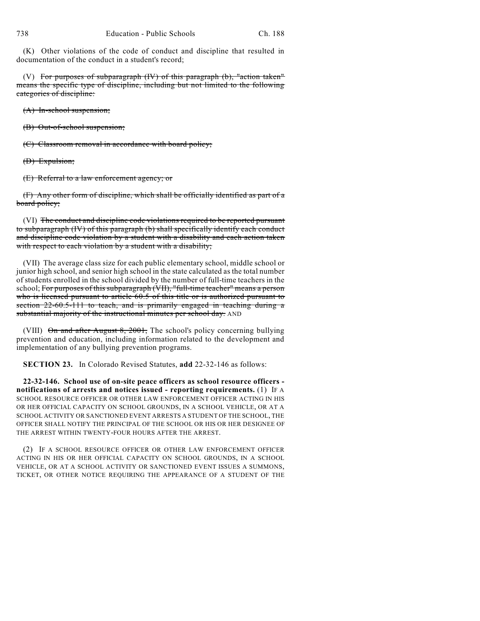(K) Other violations of the code of conduct and discipline that resulted in documentation of the conduct in a student's record;

(V) For purposes of subparagraph (IV) of this paragraph (b), "action taken" means the specific type of discipline, including but not limited to the following categories of discipline:

(A) In-school suspension;

(B) Out-of-school suspension;

(C) Classroom removal in accordance with board policy;

(D) Expulsion;

(E) Referral to a law enforcement agency; or

(F) Any other form of discipline, which shall be officially identified as part of a board policy;

(VI) The conduct and discipline code violations required to be reported pursuant to subparagraph (IV) of this paragraph (b) shall specifically identify each conduct and discipline code violation by a student with a disability and each action taken with respect to each violation by a student with a disability;

(VII) The average class size for each public elementary school, middle school or junior high school, and senior high school in the state calculated as the total number of students enrolled in the school divided by the number of full-time teachers in the school; For purposes of this subparagraph (VII), "full-time teacher" means a person who is licensed pursuant to article 60.5 of this title or is authorized pursuant to section 22-60.5-111 to teach, and is primarily engaged in teaching during a substantial majority of the instructional minutes per school day. AND

(VIII)  $\Theta$ n and after August 8, 2001, The school's policy concerning bullying prevention and education, including information related to the development and implementation of any bullying prevention programs.

**SECTION 23.** In Colorado Revised Statutes, **add** 22-32-146 as follows:

**22-32-146. School use of on-site peace officers as school resource officers notifications of arrests and notices issued - reporting requirements.** (1) IF A SCHOOL RESOURCE OFFICER OR OTHER LAW ENFORCEMENT OFFICER ACTING IN HIS OR HER OFFICIAL CAPACITY ON SCHOOL GROUNDS, IN A SCHOOL VEHICLE, OR AT A SCHOOL ACTIVITY OR SANCTIONED EVENT ARRESTS A STUDENT OF THE SCHOOL, THE OFFICER SHALL NOTIFY THE PRINCIPAL OF THE SCHOOL OR HIS OR HER DESIGNEE OF THE ARREST WITHIN TWENTY-FOUR HOURS AFTER THE ARREST.

(2) IF A SCHOOL RESOURCE OFFICER OR OTHER LAW ENFORCEMENT OFFICER ACTING IN HIS OR HER OFFICIAL CAPACITY ON SCHOOL GROUNDS, IN A SCHOOL VEHICLE, OR AT A SCHOOL ACTIVITY OR SANCTIONED EVENT ISSUES A SUMMONS, TICKET, OR OTHER NOTICE REQUIRING THE APPEARANCE OF A STUDENT OF THE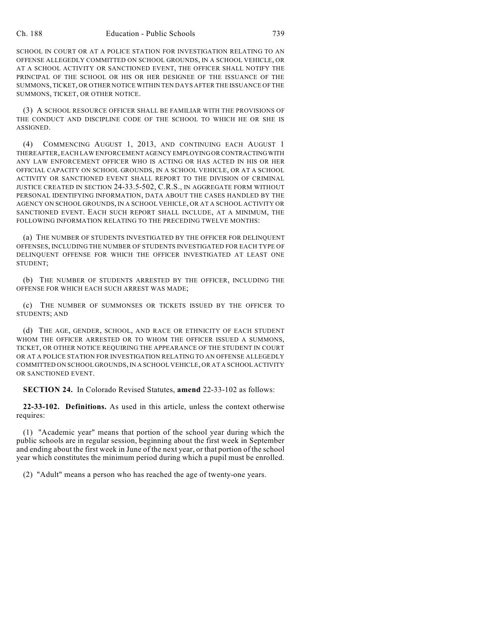SCHOOL IN COURT OR AT A POLICE STATION FOR INVESTIGATION RELATING TO AN OFFENSE ALLEGEDLY COMMITTED ON SCHOOL GROUNDS, IN A SCHOOL VEHICLE, OR AT A SCHOOL ACTIVITY OR SANCTIONED EVENT, THE OFFICER SHALL NOTIFY THE PRINCIPAL OF THE SCHOOL OR HIS OR HER DESIGNEE OF THE ISSUANCE OF THE SUMMONS, TICKET, OR OTHER NOTICE WITHIN TEN DAYS AFTER THE ISSUANCE OF THE SUMMONS, TICKET, OR OTHER NOTICE.

(3) A SCHOOL RESOURCE OFFICER SHALL BE FAMILIAR WITH THE PROVISIONS OF THE CONDUCT AND DISCIPLINE CODE OF THE SCHOOL TO WHICH HE OR SHE IS ASSIGNED.

(4) COMMENCING AUGUST 1, 2013, AND CONTINUING EACH AUGUST 1 THEREAFTER, EACH LAW ENFORCEMENT AGENCY EMPLOYINGOR CONTRACTINGWITH ANY LAW ENFORCEMENT OFFICER WHO IS ACTING OR HAS ACTED IN HIS OR HER OFFICIAL CAPACITY ON SCHOOL GROUNDS, IN A SCHOOL VEHICLE, OR AT A SCHOOL ACTIVITY OR SANCTIONED EVENT SHALL REPORT TO THE DIVISION OF CRIMINAL JUSTICE CREATED IN SECTION 24-33.5-502, C.R.S., IN AGGREGATE FORM WITHOUT PERSONAL IDENTIFYING INFORMATION, DATA ABOUT THE CASES HANDLED BY THE AGENCY ON SCHOOL GROUNDS, IN A SCHOOL VEHICLE, OR AT A SCHOOL ACTIVITY OR SANCTIONED EVENT. EACH SUCH REPORT SHALL INCLUDE, AT A MINIMUM, THE FOLLOWING INFORMATION RELATING TO THE PRECEDING TWELVE MONTHS:

(a) THE NUMBER OF STUDENTS INVESTIGATED BY THE OFFICER FOR DELINQUENT OFFENSES, INCLUDING THE NUMBER OF STUDENTS INVESTIGATED FOR EACH TYPE OF DELINQUENT OFFENSE FOR WHICH THE OFFICER INVESTIGATED AT LEAST ONE STUDENT;

(b) THE NUMBER OF STUDENTS ARRESTED BY THE OFFICER, INCLUDING THE OFFENSE FOR WHICH EACH SUCH ARREST WAS MADE;

(c) THE NUMBER OF SUMMONSES OR TICKETS ISSUED BY THE OFFICER TO STUDENTS; AND

(d) THE AGE, GENDER, SCHOOL, AND RACE OR ETHNICITY OF EACH STUDENT WHOM THE OFFICER ARRESTED OR TO WHOM THE OFFICER ISSUED A SUMMONS, TICKET, OR OTHER NOTICE REQUIRING THE APPEARANCE OF THE STUDENT IN COURT OR AT A POLICE STATION FOR INVESTIGATION RELATING TO AN OFFENSE ALLEGEDLY COMMITTED ON SCHOOL GROUNDS, IN A SCHOOL VEHICLE, OR AT A SCHOOL ACTIVITY OR SANCTIONED EVENT.

**SECTION 24.** In Colorado Revised Statutes, **amend** 22-33-102 as follows:

**22-33-102. Definitions.** As used in this article, unless the context otherwise requires:

(1) "Academic year" means that portion of the school year during which the public schools are in regular session, beginning about the first week in September and ending about the first week in June of the next year, or that portion of the school year which constitutes the minimum period during which a pupil must be enrolled.

(2) "Adult" means a person who has reached the age of twenty-one years.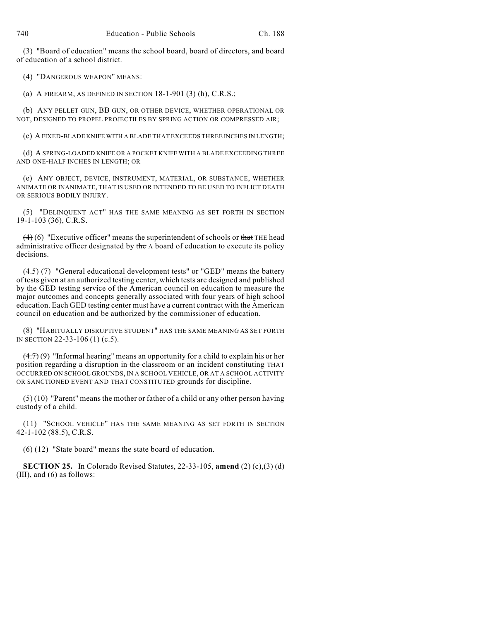(3) "Board of education" means the school board, board of directors, and board of education of a school district.

(4) "DANGEROUS WEAPON" MEANS:

(a) A FIREARM, AS DEFINED IN SECTION 18-1-901 (3) (h), C.R.S.;

(b) ANY PELLET GUN, BB GUN, OR OTHER DEVICE, WHETHER OPERATIONAL OR NOT, DESIGNED TO PROPEL PROJECTILES BY SPRING ACTION OR COMPRESSED AIR;

(c) A FIXED-BLADE KNIFE WITH A BLADE THAT EXCEEDS THREE INCHES IN LENGTH;

(d) A SPRING-LOADED KNIFE OR A POCKET KNIFE WITH A BLADE EXCEEDING THREE AND ONE-HALF INCHES IN LENGTH; OR

(e) ANY OBJECT, DEVICE, INSTRUMENT, MATERIAL, OR SUBSTANCE, WHETHER ANIMATE OR INANIMATE, THAT IS USED OR INTENDED TO BE USED TO INFLICT DEATH OR SERIOUS BODILY INJURY.

(5) "DELINQUENT ACT" HAS THE SAME MEANING AS SET FORTH IN SECTION 19-1-103 (36), C.R.S.

 $(4)$  (6) "Executive officer" means the superintendent of schools or that THE head administrative officer designated by the A board of education to execute its policy decisions.

 $(4.5)$  (7) "General educational development tests" or "GED" means the battery of tests given at an authorized testing center, which tests are designed and published by the GED testing service of the American council on education to measure the major outcomes and concepts generally associated with four years of high school education. Each GED testing center must have a current contract with the American council on education and be authorized by the commissioner of education.

(8) "HABITUALLY DISRUPTIVE STUDENT" HAS THE SAME MEANING AS SET FORTH IN SECTION 22-33-106 (1) (c.5).

 $(4.7)(9)$  "Informal hearing" means an opportunity for a child to explain his or her position regarding a disruption in the classroom or an incident constituting THAT OCCURRED ON SCHOOL GROUNDS, IN A SCHOOL VEHICLE, OR AT A SCHOOL ACTIVITY OR SANCTIONED EVENT AND THAT CONSTITUTED grounds for discipline.

 $(5)(10)$  "Parent" means the mother or father of a child or any other person having custody of a child.

(11) "SCHOOL VEHICLE" HAS THE SAME MEANING AS SET FORTH IN SECTION 42-1-102 (88.5), C.R.S.

 $(6)$  (12) "State board" means the state board of education.

**SECTION 25.** In Colorado Revised Statutes, 22-33-105, **amend** (2) (c),(3) (d) (III), and (6) as follows: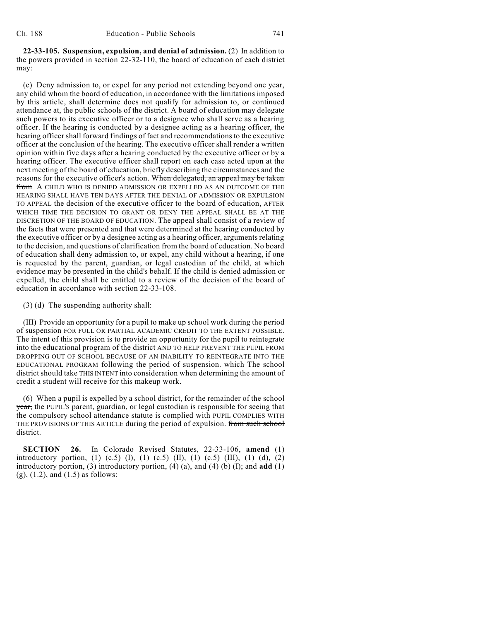**22-33-105. Suspension, expulsion, and denial of admission.** (2) In addition to the powers provided in section 22-32-110, the board of education of each district may:

(c) Deny admission to, or expel for any period not extending beyond one year, any child whom the board of education, in accordance with the limitations imposed by this article, shall determine does not qualify for admission to, or continued attendance at, the public schools of the district. A board of education may delegate such powers to its executive officer or to a designee who shall serve as a hearing officer. If the hearing is conducted by a designee acting as a hearing officer, the hearing officer shall forward findings of fact and recommendations to the executive officer at the conclusion of the hearing. The executive officer shall render a written opinion within five days after a hearing conducted by the executive officer or by a hearing officer. The executive officer shall report on each case acted upon at the next meeting of the board of education, briefly describing the circumstances and the reasons for the executive officer's action. When delegated, an appeal may be taken from A CHILD WHO IS DENIED ADMISSION OR EXPELLED AS AN OUTCOME OF THE HEARING SHALL HAVE TEN DAYS AFTER THE DENIAL OF ADMISSION OR EXPULSION TO APPEAL the decision of the executive officer to the board of education, AFTER WHICH TIME THE DECISION TO GRANT OR DENY THE APPEAL SHALL BE AT THE DISCRETION OF THE BOARD OF EDUCATION. The appeal shall consist of a review of the facts that were presented and that were determined at the hearing conducted by the executive officer or by a designee acting as a hearing officer, arguments relating to the decision, and questions of clarification from the board of education. No board of education shall deny admission to, or expel, any child without a hearing, if one is requested by the parent, guardian, or legal custodian of the child, at which evidence may be presented in the child's behalf. If the child is denied admission or expelled, the child shall be entitled to a review of the decision of the board of education in accordance with section 22-33-108.

(3) (d) The suspending authority shall:

(III) Provide an opportunity for a pupil to make up school work during the period of suspension FOR FULL OR PARTIAL ACADEMIC CREDIT TO THE EXTENT POSSIBLE. The intent of this provision is to provide an opportunity for the pupil to reintegrate into the educational program of the district AND TO HELP PREVENT THE PUPIL FROM DROPPING OUT OF SCHOOL BECAUSE OF AN INABILITY TO REINTEGRATE INTO THE EDUCATIONAL PROGRAM following the period of suspension. which The school district should take THIS INTENT into consideration when determining the amount of credit a student will receive for this makeup work.

(6) When a pupil is expelled by a school district, for the remainder of the school year, the PUPIL's parent, guardian, or legal custodian is responsible for seeing that the compulsory school attendance statute is complied with PUPIL COMPLIES WITH THE PROVISIONS OF THIS ARTICLE during the period of expulsion. from such school district.

**SECTION 26.** In Colorado Revised Statutes, 22-33-106, **amend** (1) introductory portion, (1) (c.5) (I), (1) (c.5) (II), (1) (c.5) (III), (1) (d), (2) introductory portion, (3) introductory portion, (4) (a), and (4) (b) (I); and **add** (1) (g), (1.2), and (1.5) as follows: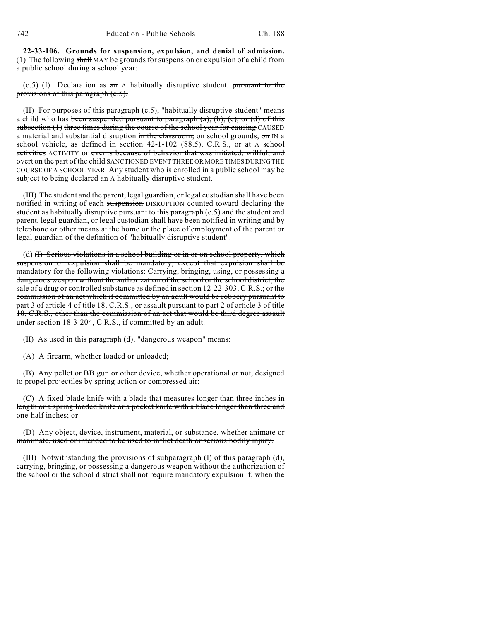742 Education - Public Schools Ch. 188

**22-33-106. Grounds for suspension, expulsion, and denial of admission.** (1) The following shall MAY be grounds for suspension or expulsion of a child from a public school during a school year:

 $(c.5)$  (I) Declaration as  $\overline{a}$  an A habitually disruptive student. pursuant to the provisions of this paragraph (c.5).

(II) For purposes of this paragraph (c.5), "habitually disruptive student" means a child who has been suspended pursuant to paragraph  $(a)$ ,  $(b)$ ,  $(c)$ , or  $(d)$  of this subsection (1) three times during the course of the school year for causing CAUSED a material and substantial disruption in the classroom, on school grounds, on IN a school vehicle, as defined in section  $42-1-102$   $(88.5)$ , C.R.S., or at A school activities ACTIVITY or events because of behavior that was initiated, willful, and overt on the part of the child SANCTIONED EVENT THREE OR MORE TIMES DURING THE COURSE OF A SCHOOL YEAR. Any student who is enrolled in a public school may be subject to being declared an A habitually disruptive student.

(III) The student and the parent, legal guardian, or legal custodian shall have been notified in writing of each suspension DISRUPTION counted toward declaring the student as habitually disruptive pursuant to this paragraph (c.5) and the student and parent, legal guardian, or legal custodian shall have been notified in writing and by telephone or other means at the home or the place of employment of the parent or legal guardian of the definition of "habitually disruptive student".

(d) (I) Serious violations in a school building or in or on school property, which suspension or expulsion shall be mandatory; except that expulsion shall be mandatory for the following violations: Carrying, bringing, using, or possessing a dangerous weapon without the authorization of the school or the school district; the sale of a drug or controlled substance as defined in section 12-22-303, C.R.S.; or the commission of an act which if committed by an adult would be robbery pursuant to part 3 of article 4 of title 18, C.R.S., or assault pursuant to part 2 of article 3 of title 18, C.R.S., other than the commission of an act that would be third degree assault under section 18-3-204, C.R.S., if committed by an adult.

(II) As used in this paragraph (d), "dangerous weapon" means:

(A) A firearm, whether loaded or unloaded;

(B) Any pellet or BB gun or other device, whether operational or not, designed to propel projectiles by spring action or compressed air;

(C) A fixed blade knife with a blade that measures longer than three inches in length or a spring loaded knife or a pocket knife with a blade longer than three and one-half inches; or

(D) Any object, device, instrument, material, or substance, whether animate or inanimate, used or intended to be used to inflict death or serious bodily injury.

(III) Notwithstanding the provisions of subparagraph (I) of this paragraph (d), carrying, bringing, or possessing a dangerous weapon without the authorization of the school or the school district shall not require mandatory expulsion if, when the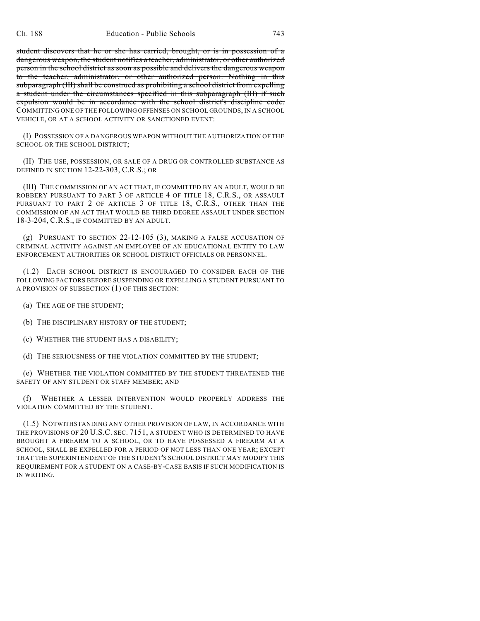student discovers that he or she has carried, brought, or is in possession of a dangerous weapon, the student notifies a teacher, administrator, or other authorized person in the school district as soon as possible and delivers the dangerous weapon to the teacher, administrator, or other authorized person. Nothing in this subparagraph (III) shall be construed as prohibiting a school district from expelling a student under the circumstances specified in this subparagraph (III) if such expulsion would be in accordance with the school district's discipline code. COMMITTING ONE OF THE FOLLOWING OFFENSES ON SCHOOL GROUNDS, IN A SCHOOL VEHICLE, OR AT A SCHOOL ACTIVITY OR SANCTIONED EVENT:

(I) POSSESSION OF A DANGEROUS WEAPON WITHOUT THE AUTHORIZATION OF THE SCHOOL OR THE SCHOOL DISTRICT;

(II) THE USE, POSSESSION, OR SALE OF A DRUG OR CONTROLLED SUBSTANCE AS DEFINED IN SECTION 12-22-303, C.R.S.; OR

(III) THE COMMISSION OF AN ACT THAT, IF COMMITTED BY AN ADULT, WOULD BE ROBBERY PURSUANT TO PART 3 OF ARTICLE 4 OF TITLE 18, C.R.S., OR ASSAULT PURSUANT TO PART 2 OF ARTICLE 3 OF TITLE 18, C.R.S., OTHER THAN THE COMMISSION OF AN ACT THAT WOULD BE THIRD DEGREE ASSAULT UNDER SECTION 18-3-204, C.R.S., IF COMMITTED BY AN ADULT.

(g) PURSUANT TO SECTION 22-12-105 (3), MAKING A FALSE ACCUSATION OF CRIMINAL ACTIVITY AGAINST AN EMPLOYEE OF AN EDUCATIONAL ENTITY TO LAW ENFORCEMENT AUTHORITIES OR SCHOOL DISTRICT OFFICIALS OR PERSONNEL.

(1.2) EACH SCHOOL DISTRICT IS ENCOURAGED TO CONSIDER EACH OF THE FOLLOWING FACTORS BEFORE SUSPENDING OR EXPELLING A STUDENT PURSUANT TO A PROVISION OF SUBSECTION (1) OF THIS SECTION:

- (a) THE AGE OF THE STUDENT;
- (b) THE DISCIPLINARY HISTORY OF THE STUDENT;
- (c) WHETHER THE STUDENT HAS A DISABILITY;
- (d) THE SERIOUSNESS OF THE VIOLATION COMMITTED BY THE STUDENT;

(e) WHETHER THE VIOLATION COMMITTED BY THE STUDENT THREATENED THE SAFETY OF ANY STUDENT OR STAFF MEMBER; AND

(f) WHETHER A LESSER INTERVENTION WOULD PROPERLY ADDRESS THE VIOLATION COMMITTED BY THE STUDENT.

(1.5) NOTWITHSTANDING ANY OTHER PROVISION OF LAW, IN ACCORDANCE WITH THE PROVISIONS OF 20 U.S.C. SEC. 7151, A STUDENT WHO IS DETERMINED TO HAVE BROUGHT A FIREARM TO A SCHOOL, OR TO HAVE POSSESSED A FIREARM AT A SCHOOL, SHALL BE EXPELLED FOR A PERIOD OF NOT LESS THAN ONE YEAR; EXCEPT THAT THE SUPERINTENDENT OF THE STUDENT'S SCHOOL DISTRICT MAY MODIFY THIS REQUIREMENT FOR A STUDENT ON A CASE-BY-CASE BASIS IF SUCH MODIFICATION IS IN WRITING.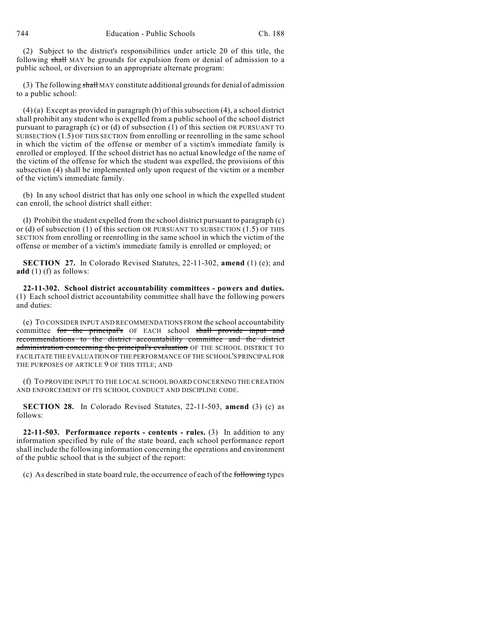(2) Subject to the district's responsibilities under article 20 of this title, the following shall MAY be grounds for expulsion from or denial of admission to a public school, or diversion to an appropriate alternate program:

(3) The following  $\frac{\text{shall}}{\text{MAY}}$  constitute additional grounds for denial of admission to a public school:

(4) (a) Except as provided in paragraph (b) of this subsection (4), a school district shall prohibit any student who is expelled from a public school of the school district pursuant to paragraph (c) or (d) of subsection (1) of this section OR PURSUANT TO SUBSECTION (1.5) OF THIS SECTION from enrolling or reenrolling in the same school in which the victim of the offense or member of a victim's immediate family is enrolled or employed. If the school district has no actual knowledge of the name of the victim of the offense for which the student was expelled, the provisions of this subsection (4) shall be implemented only upon request of the victim or a member of the victim's immediate family.

(b) In any school district that has only one school in which the expelled student can enroll, the school district shall either:

(I) Prohibit the student expelled from the school district pursuant to paragraph (c) or (d) of subsection (1) of this section OR PURSUANT TO SUBSECTION (1.5) OF THIS SECTION from enrolling or reenrolling in the same school in which the victim of the offense or member of a victim's immediate family is enrolled or employed; or

**SECTION 27.** In Colorado Revised Statutes, 22-11-302, **amend** (1) (e); and **add** (1) (f) as follows:

**22-11-302. School district accountability committees - powers and duties.** (1) Each school district accountability committee shall have the following powers and duties:

(e) TO CONSIDER INPUT AND RECOMMENDATIONS FROM the school accountability committee for the principal's OF EACH school shall provide input and recommendations to the district accountability committee and the district administration concerning the principal's evaluation OF THE SCHOOL DISTRICT TO FACILITATE THE EVALUATION OF THE PERFORMANCE OF THE SCHOOL'S PRINCIPAL FOR THE PURPOSES OF ARTICLE 9 OF THIS TITLE; AND

(f) TO PROVIDE INPUT TO THE LOCAL SCHOOL BOARD CONCERNING THE CREATION AND ENFORCEMENT OF ITS SCHOOL CONDUCT AND DISCIPLINE CODE.

**SECTION 28.** In Colorado Revised Statutes, 22-11-503, **amend** (3) (c) as follows:

**22-11-503. Performance reports - contents - rules.** (3) In addition to any information specified by rule of the state board, each school performance report shall include the following information concerning the operations and environment of the public school that is the subject of the report:

(c) As described in state board rule, the occurrence of each of the following types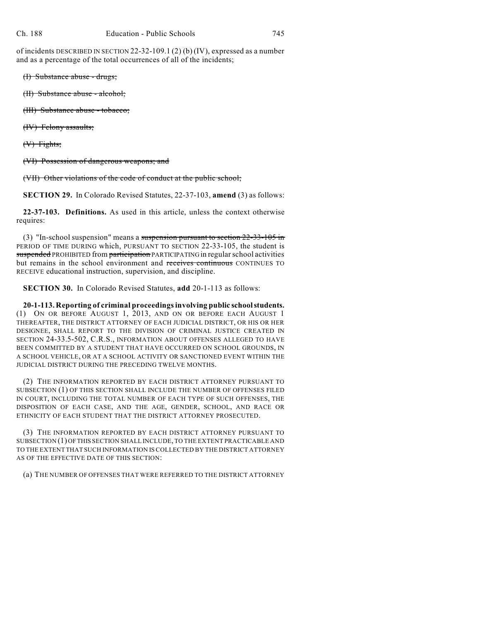of incidents DESCRIBED IN SECTION 22-32-109.1 (2) (b) (IV), expressed as a number and as a percentage of the total occurrences of all of the incidents;

(I) Substance abuse - drugs;

(II) Substance abuse - alcohol;

(III) Substance abuse - tobacco;

(IV) Felony assaults;

(V) Fights;

(VI) Possession of dangerous weapons; and

(VII) Other violations of the code of conduct at the public school;

**SECTION 29.** In Colorado Revised Statutes, 22-37-103, **amend** (3) as follows:

**22-37-103. Definitions.** As used in this article, unless the context otherwise requires:

(3) "In-school suspension" means a suspension pursuant to section 22-33-105 in PERIOD OF TIME DURING which, PURSUANT TO SECTION 22-33-105, the student is suspended PROHIBITED from participation PARTICIPATING in regular school activities but remains in the school environment and receives continuous CONTINUES TO RECEIVE educational instruction, supervision, and discipline.

**SECTION 30.** In Colorado Revised Statutes, **add** 20-1-113 as follows:

**20-1-113. Reporting of criminal proceedingsinvolving public school students.** (1) ON OR BEFORE AUGUST 1, 2013, AND ON OR BEFORE EACH AUGUST 1 THEREAFTER, THE DISTRICT ATTORNEY OF EACH JUDICIAL DISTRICT, OR HIS OR HER DESIGNEE, SHALL REPORT TO THE DIVISION OF CRIMINAL JUSTICE CREATED IN SECTION 24-33.5-502, C.R.S., INFORMATION ABOUT OFFENSES ALLEGED TO HAVE BEEN COMMITTED BY A STUDENT THAT HAVE OCCURRED ON SCHOOL GROUNDS, IN A SCHOOL VEHICLE, OR AT A SCHOOL ACTIVITY OR SANCTIONED EVENT WITHIN THE JUDICIAL DISTRICT DURING THE PRECEDING TWELVE MONTHS.

(2) THE INFORMATION REPORTED BY EACH DISTRICT ATTORNEY PURSUANT TO SUBSECTION (1) OF THIS SECTION SHALL INCLUDE THE NUMBER OF OFFENSES FILED IN COURT, INCLUDING THE TOTAL NUMBER OF EACH TYPE OF SUCH OFFENSES, THE DISPOSITION OF EACH CASE, AND THE AGE, GENDER, SCHOOL, AND RACE OR ETHNICITY OF EACH STUDENT THAT THE DISTRICT ATTORNEY PROSECUTED.

(3) THE INFORMATION REPORTED BY EACH DISTRICT ATTORNEY PURSUANT TO SUBSECTION (1) OFTHIS SECTION SHALL INCLUDE, TO THE EXTENT PRACTICABLE AND TO THE EXTENT THAT SUCH INFORMATION IS COLLECTED BY THE DISTRICT ATTORNEY AS OF THE EFFECTIVE DATE OF THIS SECTION:

(a) THE NUMBER OF OFFENSES THAT WERE REFERRED TO THE DISTRICT ATTORNEY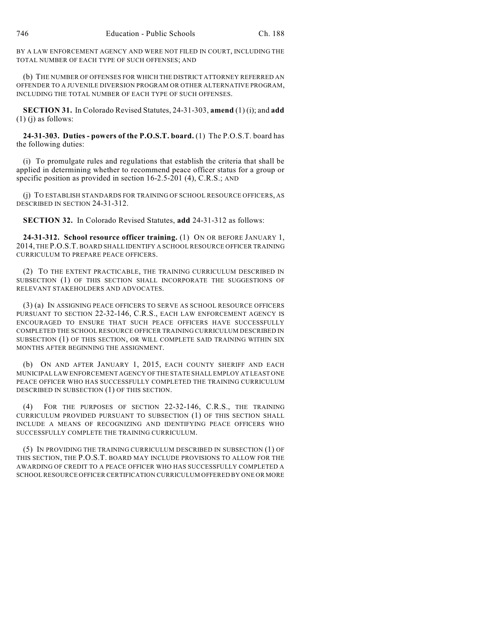BY A LAW ENFORCEMENT AGENCY AND WERE NOT FILED IN COURT, INCLUDING THE TOTAL NUMBER OF EACH TYPE OF SUCH OFFENSES; AND

(b) THE NUMBER OF OFFENSES FOR WHICH THE DISTRICT ATTORNEY REFERRED AN OFFENDER TO A JUVENILE DIVERSION PROGRAM OR OTHER ALTERNATIVE PROGRAM, INCLUDING THE TOTAL NUMBER OF EACH TYPE OF SUCH OFFENSES.

**SECTION 31.** In Colorado Revised Statutes, 24-31-303, **amend** (1) (i); and **add**  $(1)$  (j) as follows:

**24-31-303. Duties - powers of the P.O.S.T. board.** (1) The P.O.S.T. board has the following duties:

(i) To promulgate rules and regulations that establish the criteria that shall be applied in determining whether to recommend peace officer status for a group or specific position as provided in section 16-2.5-201 (4), C.R.S.; AND

(j) TO ESTABLISH STANDARDS FOR TRAINING OF SCHOOL RESOURCE OFFICERS, AS DESCRIBED IN SECTION 24-31-312.

**SECTION 32.** In Colorado Revised Statutes, **add** 24-31-312 as follows:

**24-31-312. School resource officer training.** (1) ON OR BEFORE JANUARY 1, 2014, THE P.O.S.T. BOARD SHALL IDENTIFY A SCHOOL RESOURCE OFFICER TRAINING CURRICULUM TO PREPARE PEACE OFFICERS.

(2) TO THE EXTENT PRACTICABLE, THE TRAINING CURRICULUM DESCRIBED IN SUBSECTION (1) OF THIS SECTION SHALL INCORPORATE THE SUGGESTIONS OF RELEVANT STAKEHOLDERS AND ADVOCATES.

(3) (a) IN ASSIGNING PEACE OFFICERS TO SERVE AS SCHOOL RESOURCE OFFICERS PURSUANT TO SECTION 22-32-146, C.R.S., EACH LAW ENFORCEMENT AGENCY IS ENCOURAGED TO ENSURE THAT SUCH PEACE OFFICERS HAVE SUCCESSFULLY COMPLETED THE SCHOOL RESOURCE OFFICER TRAINING CURRICULUM DESCRIBED IN SUBSECTION (1) OF THIS SECTION, OR WILL COMPLETE SAID TRAINING WITHIN SIX MONTHS AFTER BEGINNING THE ASSIGNMENT.

(b) ON AND AFTER JANUARY 1, 2015, EACH COUNTY SHERIFF AND EACH MUNICIPAL LAW ENFORCEMENT AGENCY OF THE STATE SHALL EMPLOY AT LEAST ONE PEACE OFFICER WHO HAS SUCCESSFULLY COMPLETED THE TRAINING CURRICULUM DESCRIBED IN SUBSECTION (1) OF THIS SECTION.

(4) FOR THE PURPOSES OF SECTION 22-32-146, C.R.S., THE TRAINING CURRICULUM PROVIDED PURSUANT TO SUBSECTION (1) OF THIS SECTION SHALL INCLUDE A MEANS OF RECOGNIZING AND IDENTIFYING PEACE OFFICERS WHO SUCCESSFULLY COMPLETE THE TRAINING CURRICULUM.

(5) IN PROVIDING THE TRAINING CURRICULUM DESCRIBED IN SUBSECTION (1) OF THIS SECTION, THE P.O.S.T. BOARD MAY INCLUDE PROVISIONS TO ALLOW FOR THE AWARDING OF CREDIT TO A PEACE OFFICER WHO HAS SUCCESSFULLY COMPLETED A SCHOOL RESOURCE OFFICER CERTIFICATION CURRICULUM OFFERED BY ONE OR MORE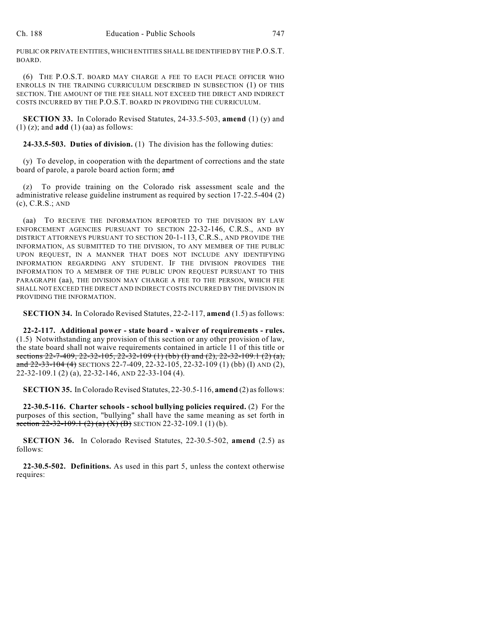PUBLIC OR PRIVATE ENTITIES, WHICH ENTITIES SHALL BE IDENTIFIED BY THE P.O.S.T. BOARD.

(6) THE P.O.S.T. BOARD MAY CHARGE A FEE TO EACH PEACE OFFICER WHO ENROLLS IN THE TRAINING CURRICULUM DESCRIBED IN SUBSECTION (1) OF THIS SECTION. THE AMOUNT OF THE FEE SHALL NOT EXCEED THE DIRECT AND INDIRECT COSTS INCURRED BY THE P.O.S.T. BOARD IN PROVIDING THE CURRICULUM.

**SECTION 33.** In Colorado Revised Statutes, 24-33.5-503, **amend** (1) (y) and (1) (z); and **add** (1) (aa) as follows:

**24-33.5-503. Duties of division.** (1) The division has the following duties:

(y) To develop, in cooperation with the department of corrections and the state board of parole, a parole board action form; and

(z) To provide training on the Colorado risk assessment scale and the administrative release guideline instrument as required by section 17-22.5-404 (2) (c), C.R.S.; AND

(aa) TO RECEIVE THE INFORMATION REPORTED TO THE DIVISION BY LAW ENFORCEMENT AGENCIES PURSUANT TO SECTION 22-32-146, C.R.S., AND BY DISTRICT ATTORNEYS PURSUANT TO SECTION 20-1-113, C.R.S., AND PROVIDE THE INFORMATION, AS SUBMITTED TO THE DIVISION, TO ANY MEMBER OF THE PUBLIC UPON REQUEST, IN A MANNER THAT DOES NOT INCLUDE ANY IDENTIFYING INFORMATION REGARDING ANY STUDENT. IF THE DIVISION PROVIDES THE INFORMATION TO A MEMBER OF THE PUBLIC UPON REQUEST PURSUANT TO THIS PARAGRAPH (aa), THE DIVISION MAY CHARGE A FEE TO THE PERSON, WHICH FEE SHALL NOT EXCEED THE DIRECT AND INDIRECT COSTS INCURRED BY THE DIVISION IN PROVIDING THE INFORMATION.

**SECTION 34.** In Colorado Revised Statutes, 22-2-117, **amend** (1.5) as follows:

**22-2-117. Additional power - state board - waiver of requirements - rules.** (1.5) Notwithstanding any provision of this section or any other provision of law, the state board shall not waive requirements contained in article 11 of this title or sections 22-7-409, 22-32-105, 22-32-109 (1) (bb) (I) and (2), 22-32-109.1 (2) (a), and 22-33-104 (4) SECTIONS 22-7-409, 22-32-105, 22-32-109 (1) (bb) (I) AND (2), 22-32-109.1 (2) (a), 22-32-146, AND 22-33-104 (4).

**SECTION 35.** In Colorado Revised Statutes, 22-30.5-116, **amend** (2) as follows:

**22-30.5-116. Charter schools - school bullying policies required.** (2) For the purposes of this section, "bullying" shall have the same meaning as set forth in section  $22-32-109.1$  (2) (a) (X) (B) SECTION 22-32-109.1 (1) (b).

**SECTION 36.** In Colorado Revised Statutes, 22-30.5-502, **amend** (2.5) as follows:

**22-30.5-502. Definitions.** As used in this part 5, unless the context otherwise requires: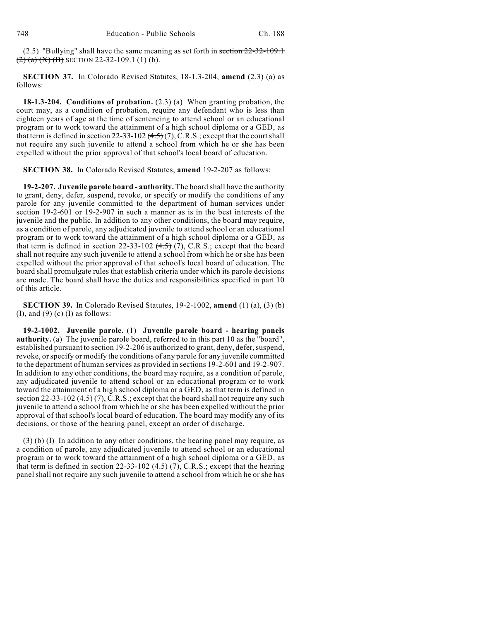(2.5) "Bullying" shall have the same meaning as set forth in section 22-32-109.1  $(2)$  (a) (X) (B) SECTION 22-32-109.1 (1) (b).

**SECTION 37.** In Colorado Revised Statutes, 18-1.3-204, **amend** (2.3) (a) as follows:

**18-1.3-204. Conditions of probation.** (2.3) (a) When granting probation, the court may, as a condition of probation, require any defendant who is less than eighteen years of age at the time of sentencing to attend school or an educational program or to work toward the attainment of a high school diploma or a GED, as that term is defined in section 22-33-102  $(4.5)(7)$ , C.R.S.; except that the court shall not require any such juvenile to attend a school from which he or she has been expelled without the prior approval of that school's local board of education.

**SECTION 38.** In Colorado Revised Statutes, **amend** 19-2-207 as follows:

**19-2-207. Juvenile parole board - authority.** The board shall have the authority to grant, deny, defer, suspend, revoke, or specify or modify the conditions of any parole for any juvenile committed to the department of human services under section 19-2-601 or 19-2-907 in such a manner as is in the best interests of the juvenile and the public. In addition to any other conditions, the board may require, as a condition of parole, any adjudicated juvenile to attend school or an educational program or to work toward the attainment of a high school diploma or a GED, as that term is defined in section 22-33-102  $(4.5)$  (7), C.R.S.; except that the board shall not require any such juvenile to attend a school from which he or she has been expelled without the prior approval of that school's local board of education. The board shall promulgate rules that establish criteria under which its parole decisions are made. The board shall have the duties and responsibilities specified in part 10 of this article.

**SECTION 39.** In Colorado Revised Statutes, 19-2-1002, **amend** (1) (a), (3) (b) (I), and (9) (c) (I) as follows:

**19-2-1002. Juvenile parole.** (1) **Juvenile parole board - hearing panels authority.** (a) The juvenile parole board, referred to in this part 10 as the "board", established pursuant to section 19-2-206 is authorized to grant, deny, defer, suspend, revoke, orspecify or modify the conditions of any parole for any juvenile committed to the department of human services as provided in sections 19-2-601 and 19-2-907. In addition to any other conditions, the board may require, as a condition of parole, any adjudicated juvenile to attend school or an educational program or to work toward the attainment of a high school diploma or a GED, as that term is defined in section 22-33-102  $(4.5)$  (7), C.R.S.; except that the board shall not require any such juvenile to attend a school from which he or she has been expelled without the prior approval of that school's local board of education. The board may modify any of its decisions, or those of the hearing panel, except an order of discharge.

(3) (b) (I) In addition to any other conditions, the hearing panel may require, as a condition of parole, any adjudicated juvenile to attend school or an educational program or to work toward the attainment of a high school diploma or a GED, as that term is defined in section 22-33-102  $(4.5)$  (7), C.R.S.; except that the hearing panel shall not require any such juvenile to attend a school from which he or she has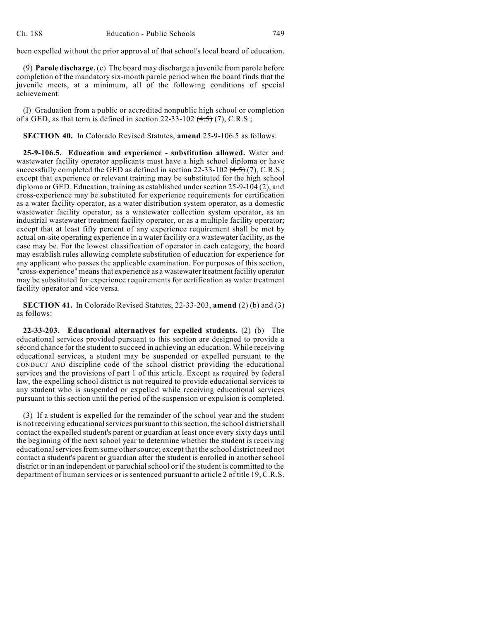been expelled without the prior approval of that school's local board of education.

(9) **Parole discharge.** (c) The board may discharge a juvenile from parole before completion of the mandatory six-month parole period when the board finds that the juvenile meets, at a minimum, all of the following conditions of special achievement:

(I) Graduation from a public or accredited nonpublic high school or completion of a GED, as that term is defined in section 22-33-102  $(4.5)$  (7), C.R.S.;

**SECTION 40.** In Colorado Revised Statutes, **amend** 25-9-106.5 as follows:

**25-9-106.5. Education and experience - substitution allowed.** Water and wastewater facility operator applicants must have a high school diploma or have successfully completed the GED as defined in section 22-33-102  $(4.5)$  (7), C.R.S.; except that experience or relevant training may be substituted for the high school diploma or GED. Education, training as established under section 25-9-104 (2), and cross-experience may be substituted for experience requirements for certification as a water facility operator, as a water distribution system operator, as a domestic wastewater facility operator, as a wastewater collection system operator, as an industrial wastewater treatment facility operator, or as a multiple facility operator; except that at least fifty percent of any experience requirement shall be met by actual on-site operating experience in a water facility or a wastewater facility, as the case may be. For the lowest classification of operator in each category, the board may establish rules allowing complete substitution of education for experience for any applicant who passes the applicable examination. For purposes of this section, "cross-experience" meansthat experience as a wastewater treatment facility operator may be substituted for experience requirements for certification as water treatment facility operator and vice versa.

**SECTION 41.** In Colorado Revised Statutes, 22-33-203, **amend** (2) (b) and (3) as follows:

**22-33-203. Educational alternatives for expelled students.** (2) (b) The educational services provided pursuant to this section are designed to provide a second chance for the student to succeed in achieving an education. While receiving educational services, a student may be suspended or expelled pursuant to the CONDUCT AND discipline code of the school district providing the educational services and the provisions of part 1 of this article. Except as required by federal law, the expelling school district is not required to provide educational services to any student who is suspended or expelled while receiving educational services pursuant to this section until the period of the suspension or expulsion is completed.

(3) If a student is expelled for the remainder of the school year and the student is not receiving educational services pursuant to this section, the school district shall contact the expelled student's parent or guardian at least once every sixty days until the beginning of the next school year to determine whether the student is receiving educational services from some other source; except that the school district need not contact a student's parent or guardian after the student is enrolled in another school district or in an independent or parochial school or if the student is committed to the department of human services or is sentenced pursuant to article 2 of title 19, C.R.S.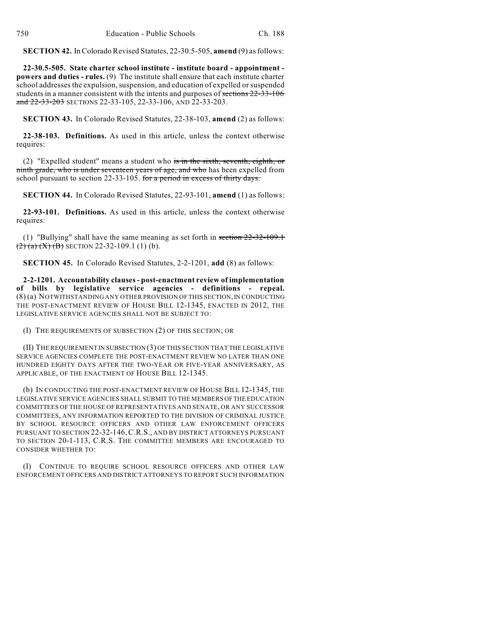**SECTION 42.** InColorado Revised Statutes, 22-30.5-505, **amend** (9) asfollows:

**22-30.5-505. State charter school institute - institute board - appointment powers and duties - rules.** (9) The institute shall ensure that each institute charter school addresses the expulsion, suspension, and education of expelled or suspended students in a manner consistent with the intents and purposes of sections 22-33-106 and 22-33-203 SECTIONS 22-33-105, 22-33-106, AND 22-33-203.

**SECTION 43.** In Colorado Revised Statutes, 22-38-103, **amend** (2) as follows:

**22-38-103. Definitions.** As used in this article, unless the context otherwise requires:

(2) "Expelled student" means a student who is in the sixth, seventh, eighth, or ninth grade, who is under seventeen years of age, and who has been expelled from school pursuant to section 22-33-105. for a period in excess of thirty days.

**SECTION 44.** In Colorado Revised Statutes, 22-93-101, **amend** (1) as follows:

**22-93-101. Definitions.** As used in this article, unless the context otherwise requires:

(1) "Bullying" shall have the same meaning as set forth in section 22-32-109.1  $\left(\frac{2}{2}\right)$  (a) (X) (B) SECTION 22-32-109.1 (1) (b).

**SECTION 45.** In Colorado Revised Statutes, 2-2-1201, **add** (8) as follows:

**2-2-1201. Accountability clauses- post-enactment review of implementation of bills by legislative service agencies - definitions - repeal.** (8) (a) NOTWITHSTANDING ANY OTHER PROVISION OF THIS SECTION,IN CONDUCTING THE POST-ENACTMENT REVIEW OF HOUSE BILL 12-1345, ENACTED IN 2012, THE LEGISLATIVE SERVICE AGENCIES SHALL NOT BE SUBJECT TO:

(I) THE REQUIREMENTS OF SUBSECTION (2) OF THIS SECTION; OR

(II) THE REQUIREMENT IN SUBSECTION (3) OF THIS SECTION THAT THE LEGISLATIVE SERVICE AGENCIES COMPLETE THE POST-ENACTMENT REVIEW NO LATER THAN ONE HUNDRED EIGHTY DAYS AFTER THE TWO-YEAR OR FIVE-YEAR ANNIVERSARY, AS APPLICABLE, OF THE ENACTMENT OF HOUSE BILL 12-1345.

(b) IN CONDUCTING THE POST-ENACTMENT REVIEW OF HOUSE BILL 12-1345, THE LEGISLATIVE SERVICE AGENCIES SHALL SUBMIT TO THE MEMBERS OFTHE EDUCATION COMMITTEES OF THE HOUSE OF REPRESENTATIVES AND SENATE, OR ANY SUCCESSOR COMMITTEES, ANY INFORMATION REPORTED TO THE DIVISION OF CRIMINAL JUSTICE BY SCHOOL RESOURCE OFFICERS AND OTHER LAW ENFORCEMENT OFFICERS PURSUANT TO SECTION 22-32-146,C.R.S., AND BY DISTRICT ATTORNEYS PURSUANT TO SECTION 20-1-113, C.R.S. THE COMMITTEE MEMBERS ARE ENCOURAGED TO CONSIDER WHETHER TO:

(I) CONTINUE TO REQUIRE SCHOOL RESOURCE OFFICERS AND OTHER LAW ENFORCEMENT OFFICERS AND DISTRICT ATTORNEYS TO REPORT SUCH INFORMATION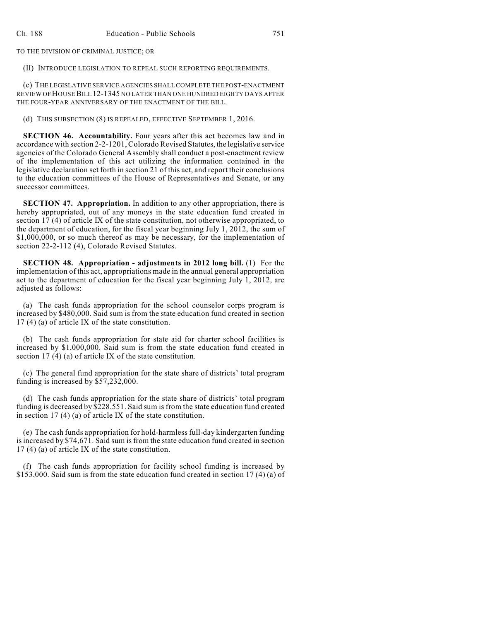TO THE DIVISION OF CRIMINAL JUSTICE; OR

(II) INTRODUCE LEGISLATION TO REPEAL SUCH REPORTING REQUIREMENTS.

(c) THE LEGISLATIVE SERVICE AGENCIES SHALLCOMPLETE THE POST-ENACTMENT REVIEW OF HOUSEBILL 12-1345 NO LATER THAN ONE HUNDRED EIGHTY DAYS AFTER THE FOUR-YEAR ANNIVERSARY OF THE ENACTMENT OF THE BILL.

(d) THIS SUBSECTION (8) IS REPEALED, EFFECTIVE SEPTEMBER 1, 2016.

**SECTION 46. Accountability.** Four years after this act becomes law and in accordance with section 2-2-1201,Colorado Revised Statutes, the legislative service agencies of the Colorado General Assembly shall conduct a post-enactment review of the implementation of this act utilizing the information contained in the legislative declaration set forth in section 21 of this act, and report their conclusions to the education committees of the House of Representatives and Senate, or any successor committees.

**SECTION 47. Appropriation.** In addition to any other appropriation, there is hereby appropriated, out of any moneys in the state education fund created in section  $17(4)$  of article IX of the state constitution, not otherwise appropriated, to the department of education, for the fiscal year beginning July 1,  $2012$ , the sum of \$1,000,000, or so much thereof as may be necessary, for the implementation of section 22-2-112 (4), Colorado Revised Statutes.

**SECTION 48. Appropriation - adjustments in 2012 long bill.** (1) For the implementation of this act, appropriations made in the annual general appropriation act to the department of education for the fiscal year beginning July  $\hat{1}$ ,  $\hat{2012}$ , are adjusted as follows:

(a) The cash funds appropriation for the school counselor corps program is increased by \$480,000. Said sum is from the state education fund created in section 17 (4) (a) of article IX of the state constitution.

(b) The cash funds appropriation for state aid for charter school facilities is increased by \$1,000,000. Said sum is from the state education fund created in section 17 (4) (a) of article IX of the state constitution.

(c) The general fund appropriation for the state share of districts' total program funding is increased by \$57,232,000.

(d) The cash funds appropriation for the state share of districts' total program funding is decreased by \$228,551. Said sum is from the state education fund created in section 17 (4) (a) of article IX of the state constitution.

(e) The cash funds appropriation for hold-harmlessfull-day kindergarten funding isincreased by \$74,671. Said sum is from the state education fund created in section 17 (4) (a) of article IX of the state constitution.

(f) The cash funds appropriation for facility school funding is increased by \$153,000. Said sum is from the state education fund created in section 17 (4) (a) of